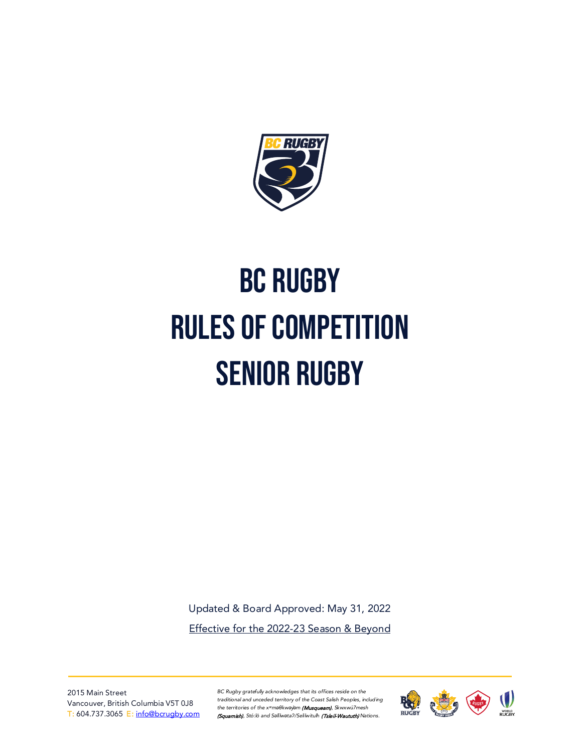

# BC Rugby Rules of Competition senior Rugby

Updated & Board Approved: May 31, 2022 Effective for the 2022-23 Season & Beyond

2015 Main Street Vancouver, British Columbia V5T 0J8 T: 604.737.3065 E: [info@bcrugby.com](mailto:info@bcrugby.com) *BC Rugby gratefully acknowledges that its offices reside on the traditional and unceded territory of the Coast Salish Peoples, including the territories of the xʷməθkwəy̓əm* (Musqueam)*, Skwxwú7mesh*  (Squamish), Stó:lō and S*əl̓ílwətaʔ/Selilwitulh* (Tsleil-Waututh) *Nations.*

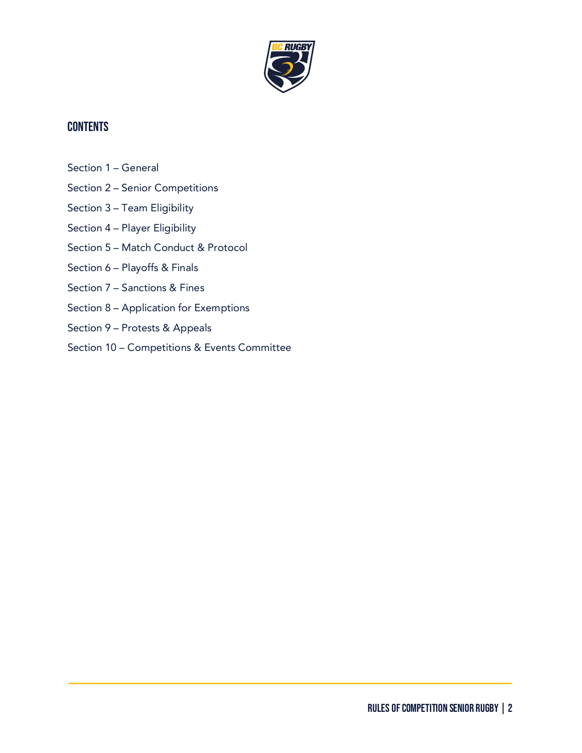

# **CONTENTS**

- Section 1 General
- Section 2 Senior Competitions
- Section 3 Team Eligibility
- Section 4 Player Eligibility
- Section 5 Match Conduct & Protocol
- Section 6 Playoffs & Finals
- Section 7 Sanctions & Fines
- Section 8 Application for Exemptions
- Section 9 Protests & Appeals
- Section 10 Competitions & Events Committee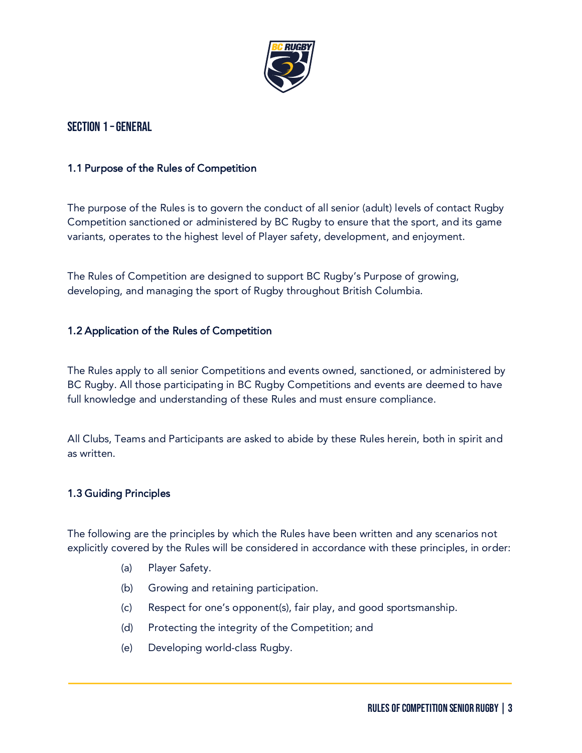

# Section 1 –General

# 1.1 Purpose of the Rules of Competition

The purpose of the Rules is to govern the conduct of all senior (adult) levels of contact Rugby Competition sanctioned or administered by BC Rugby to ensure that the sport, and its game variants, operates to the highest level of Player safety, development, and enjoyment.

The Rules of Competition are designed to support BC Rugby's Purpose of growing, developing, and managing the sport of Rugby throughout British Columbia.

# 1.2 Application of the Rules of Competition

The Rules apply to all senior Competitions and events owned, sanctioned, or administered by BC Rugby. All those participating in BC Rugby Competitions and events are deemed to have full knowledge and understanding of these Rules and must ensure compliance.

All Clubs, Teams and Participants are asked to abide by these Rules herein, both in spirit and as written.

# 1.3 Guiding Principles

The following are the principles by which the Rules have been written and any scenarios not explicitly covered by the Rules will be considered in accordance with these principles, in order:

- (a) Player Safety.
- (b) Growing and retaining participation.
- (c) Respect for one's opponent(s), fair play, and good sportsmanship.
- (d) Protecting the integrity of the Competition; and
- (e) Developing world-class Rugby.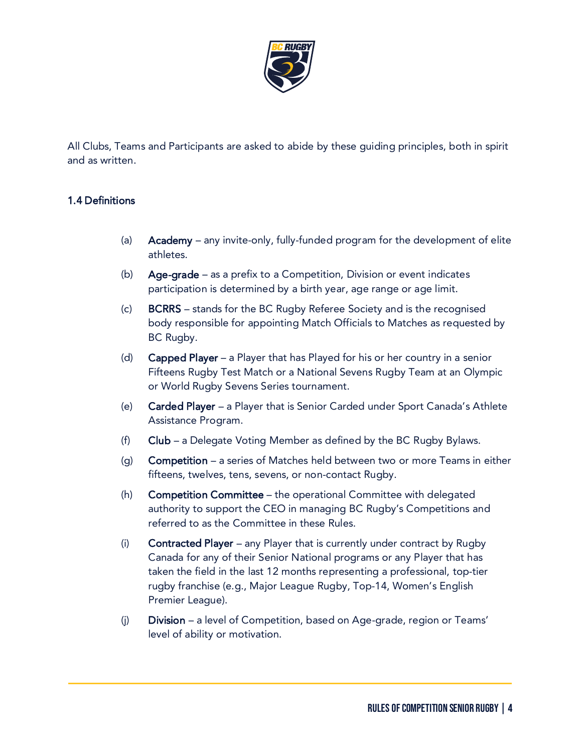

All Clubs, Teams and Participants are asked to abide by these guiding principles, both in spirit and as written.

# 1.4 Definitions

- (a) Academy any invite-only, fully-funded program for the development of elite athletes.
- (b) Age-grade as a prefix to a Competition, Division or event indicates participation is determined by a birth year, age range or age limit.
- (c) BCRRS stands for the BC Rugby Referee Society and is the recognised body responsible for appointing Match Officials to Matches as requested by BC Rugby.
- (d) Capped Player a Player that has Played for his or her country in a senior Fifteens Rugby Test Match or a National Sevens Rugby Team at an Olympic or World Rugby Sevens Series tournament.
- (e) Carded Player a Player that is Senior Carded under Sport Canada's Athlete Assistance Program.
- (f) Club a Delegate Voting Member as defined by the BC Rugby Bylaws.
- (q) **Competition** a series of Matches held between two or more Teams in either fifteens, twelves, tens, sevens, or non-contact Rugby.
- (h) Competition Committee the operational Committee with delegated authority to support the CEO in managing BC Rugby's Competitions and referred to as the Committee in these Rules.
- (i) Contracted Player any Player that is currently under contract by Rugby Canada for any of their Senior National programs or any Player that has taken the field in the last 12 months representing a professional, top-tier rugby franchise (e.g., Major League Rugby, Top-14, Women's English Premier League).
- (j) Division a level of Competition, based on Age-grade, region or Teams' level of ability or motivation.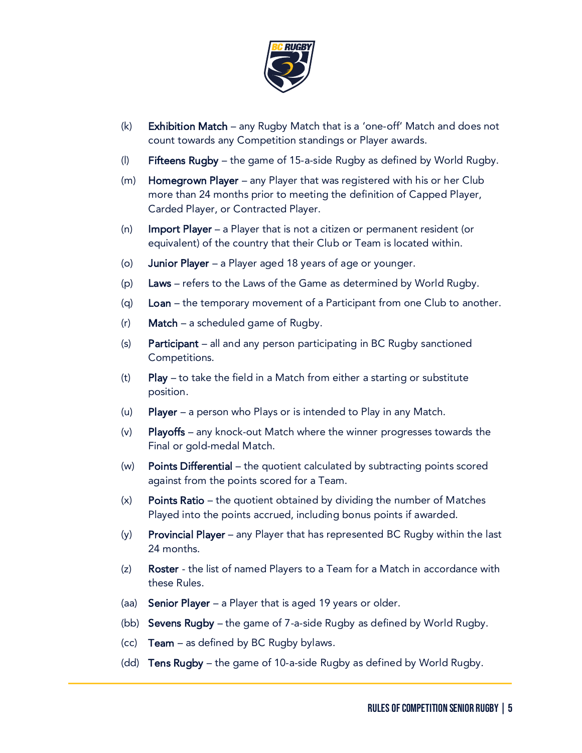

- (k) Exhibition Match any Rugby Match that is a 'one-off' Match and does not count towards any Competition standings or Player awards.
- (I) Fifteens Rugby the game of 15-a-side Rugby as defined by World Rugby.
- (m) Homegrown Player any Player that was registered with his or her Club more than 24 months prior to meeting the definition of Capped Player, Carded Player, or Contracted Player.
- (n) Import Player a Player that is not a citizen or permanent resident (or equivalent) of the country that their Club or Team is located within.
- (o) Junior Player a Player aged 18 years of age or younger.
- (p) Laws refers to the Laws of the Game as determined by World Rugby.
- (q)  $Loan the temporary movement of a Participant from one Club to another.$
- $(r)$  **Match** a scheduled game of Rugby.
- (s) Participant all and any person participating in BC Rugby sanctioned Competitions.
- (t) Play to take the field in a Match from either a starting or substitute position.
- (u) Player a person who Plays or is intended to Play in any Match.
- (v) Playoffs any knock-out Match where the winner progresses towards the Final or gold-medal Match.
- (w) Points Differential the quotient calculated by subtracting points scored against from the points scored for a Team.
- (x) Points Ratio the quotient obtained by dividing the number of Matches Played into the points accrued, including bonus points if awarded.
- $(y)$  Provincial Player any Player that has represented BC Rugby within the last 24 months.
- (z) Roster the list of named Players to a Team for a Match in accordance with these Rules.
- (aa) Senior Player a Player that is aged 19 years or older.
- (bb) Sevens Rugby the game of 7-a-side Rugby as defined by World Rugby.
- (cc) Team as defined by BC Rugby bylaws.
- (dd) Tens Rugby the game of 10-a-side Rugby as defined by World Rugby.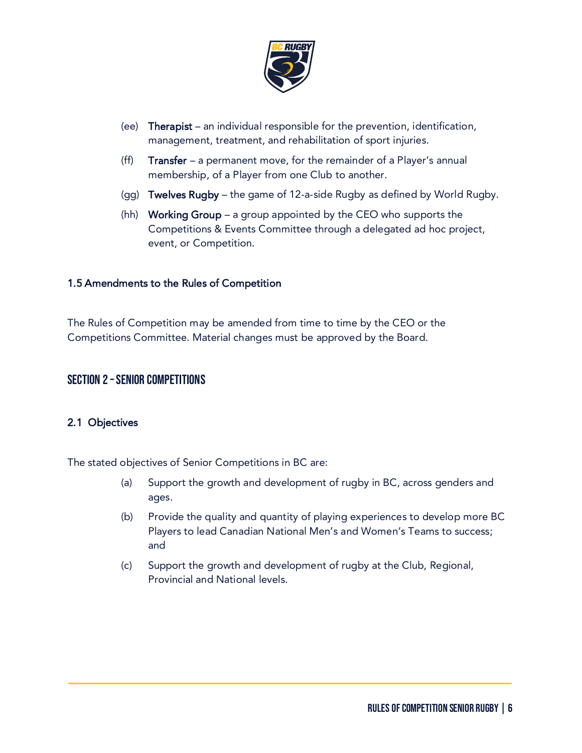

- (ee) Therapist an individual responsible for the prevention, identification, management, treatment, and rehabilitation of sport injuries.
- (ff) **Transfer** a permanent move, for the remainder of a Player's annual membership, of a Player from one Club to another.
- (gg) Twelves Rugby the game of 12-a-side Rugby as defined by World Rugby.
- (hh) Working Group a group appointed by the CEO who supports the Competitions & Events Committee through a delegated ad hoc project, event, or Competition.

#### 1.5 Amendments to the Rules of Competition

The Rules of Competition may be amended from time to time by the CEO or the Competitions Committee. Material changes must be approved by the Board.

# Section 2 –Senior Competitions

# 2.1 Objectives

The stated objectives of Senior Competitions in BC are:

- (a) Support the growth and development of rugby in BC, across genders and ages.
- (b) Provide the quality and quantity of playing experiences to develop more BC Players to lead Canadian National Men's and Women's Teams to success; and
- (c) Support the growth and development of rugby at the Club, Regional, Provincial and National levels.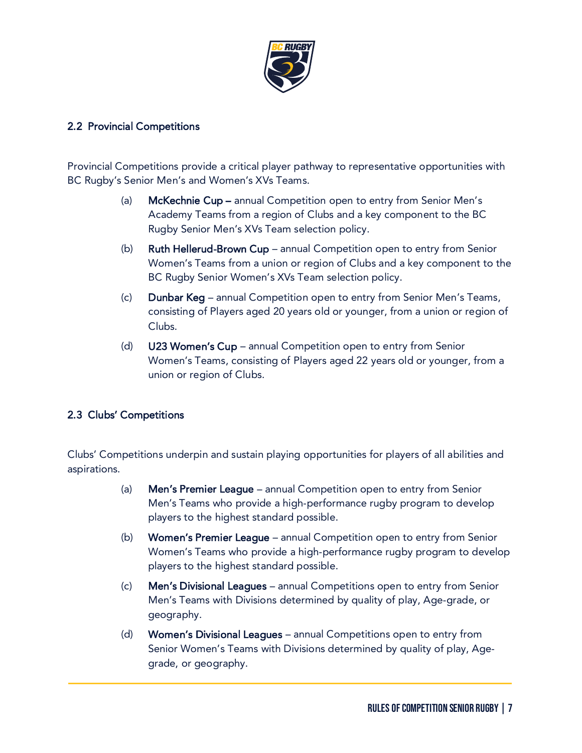

# 2.2 Provincial Competitions

Provincial Competitions provide a critical player pathway to representative opportunities with BC Rugby's Senior Men's and Women's XVs Teams.

- (a) McKechnie Cup annual Competition open to entry from Senior Men's Academy Teams from a region of Clubs and a key component to the BC Rugby Senior Men's XVs Team selection policy.
- (b) Ruth Hellerud-Brown Cup annual Competition open to entry from Senior Women's Teams from a union or region of Clubs and a key component to the BC Rugby Senior Women's XVs Team selection policy.
- (c) Dunbar Keg annual Competition open to entry from Senior Men's Teams, consisting of Players aged 20 years old or younger, from a union or region of Clubs.
- (d) U23 Women's Cup annual Competition open to entry from Senior Women's Teams, consisting of Players aged 22 years old or younger, from a union or region of Clubs.

# 2.3 Clubs' Competitions

Clubs' Competitions underpin and sustain playing opportunities for players of all abilities and aspirations.

- (a) Men's Premier League annual Competition open to entry from Senior Men's Teams who provide a high-performance rugby program to develop players to the highest standard possible.
- (b) Women's Premier League annual Competition open to entry from Senior Women's Teams who provide a high-performance rugby program to develop players to the highest standard possible.
- (c) Men's Divisional Leagues annual Competitions open to entry from Senior Men's Teams with Divisions determined by quality of play, Age-grade, or geography.
- (d) Women's Divisional Leagues annual Competitions open to entry from Senior Women's Teams with Divisions determined by quality of play, Agegrade, or geography.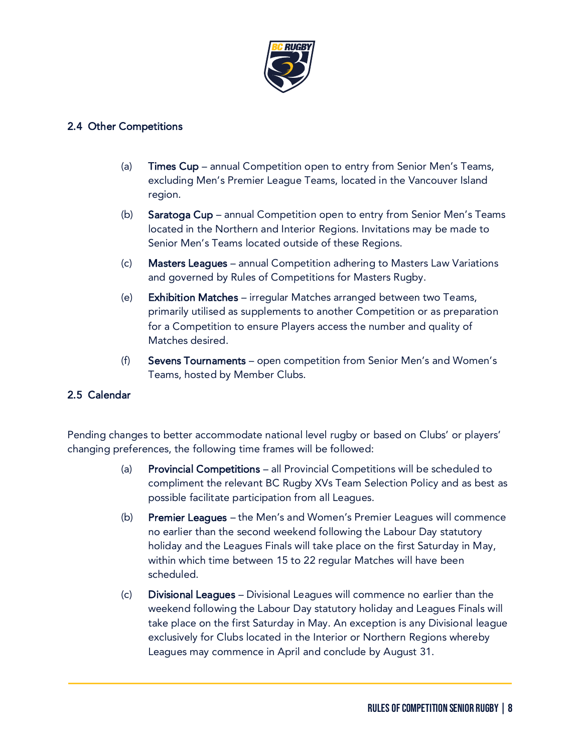

# 2.4 Other Competitions

- (a) Times Cup annual Competition open to entry from Senior Men's Teams, excluding Men's Premier League Teams, located in the Vancouver Island region.
- (b) Saratoga Cup annual Competition open to entry from Senior Men's Teams located in the Northern and Interior Regions. Invitations may be made to Senior Men's Teams located outside of these Regions.
- (c) Masters Leagues annual Competition adhering to Masters Law Variations and governed by Rules of Competitions for Masters Rugby.
- (e) Exhibition Matches irregular Matches arranged between two Teams, primarily utilised as supplements to another Competition or as preparation for a Competition to ensure Players access the number and quality of Matches desired.
- (f) Sevens Tournaments open competition from Senior Men's and Women's Teams, hosted by Member Clubs.

# 2.5 Calendar

Pending changes to better accommodate national level rugby or based on Clubs' or players' changing preferences, the following time frames will be followed:

- (a) Provincial Competitions all Provincial Competitions will be scheduled to compliment the relevant BC Rugby XVs Team Selection Policy and as best as possible facilitate participation from all Leagues.
- (b) Premier Leagues the Men's and Women's Premier Leagues will commence no earlier than the second weekend following the Labour Day statutory holiday and the Leagues Finals will take place on the first Saturday in May, within which time between 15 to 22 regular Matches will have been scheduled.
- (c) Divisional Leagues Divisional Leagues will commence no earlier than the weekend following the Labour Day statutory holiday and Leagues Finals will take place on the first Saturday in May. An exception is any Divisional league exclusively for Clubs located in the Interior or Northern Regions whereby Leagues may commence in April and conclude by August 31.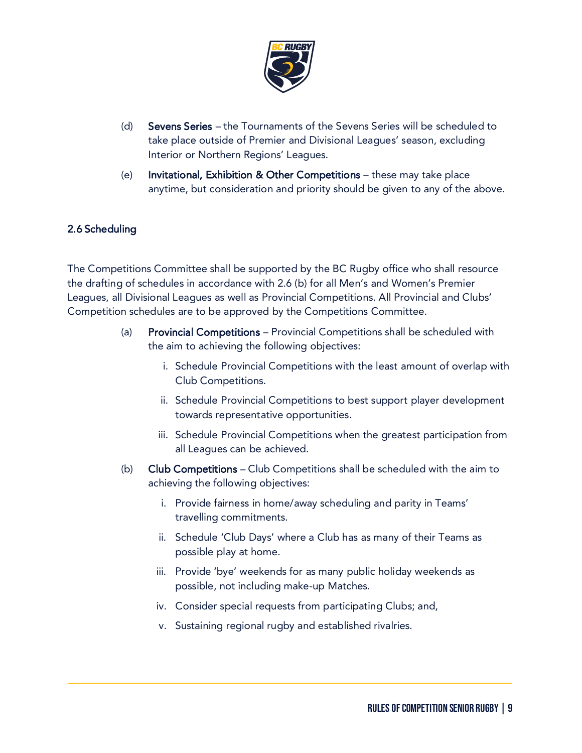

- (d) Sevens Series the Tournaments of the Sevens Series will be scheduled to take place outside of Premier and Divisional Leagues' season, excluding Interior or Northern Regions' Leagues.
- (e) Invitational, Exhibition & Other Competitions these may take place anytime, but consideration and priority should be given to any of the above.

# 2.6 Scheduling

The Competitions Committee shall be supported by the BC Rugby office who shall resource the drafting of schedules in accordance with 2.6 (b) for all Men's and Women's Premier Leagues, all Divisional Leagues as well as Provincial Competitions. All Provincial and Clubs' Competition schedules are to be approved by the Competitions Committee.

- (a) Provincial Competitions Provincial Competitions shall be scheduled with the aim to achieving the following objectives:
	- i. Schedule Provincial Competitions with the least amount of overlap with Club Competitions.
	- ii. Schedule Provincial Competitions to best support player development towards representative opportunities.
	- iii. Schedule Provincial Competitions when the greatest participation from all Leagues can be achieved.
- (b) Club Competitions Club Competitions shall be scheduled with the aim to achieving the following objectives:
	- i. Provide fairness in home/away scheduling and parity in Teams' travelling commitments.
	- ii. Schedule 'Club Days' where a Club has as many of their Teams as possible play at home.
	- iii. Provide 'bye' weekends for as many public holiday weekends as possible, not including make-up Matches.
	- iv. Consider special requests from participating Clubs; and,
	- v. Sustaining regional rugby and established rivalries.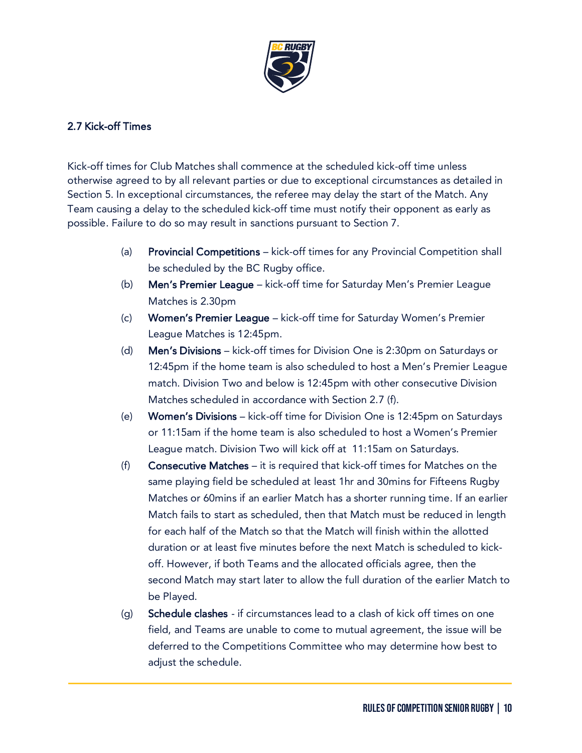

# 2.7 Kick-off Times

Kick-off times for Club Matches shall commence at the scheduled kick-off time unless otherwise agreed to by all relevant parties or due to exceptional circumstances as detailed in Section 5. In exceptional circumstances, the referee may delay the start of the Match. Any Team causing a delay to the scheduled kick-off time must notify their opponent as early as possible. Failure to do so may result in sanctions pursuant to Section 7.

- (a) Provincial Competitions kick-off times for any Provincial Competition shall be scheduled by the BC Rugby office.
- (b) Men's Premier League kick-off time for Saturday Men's Premier League Matches is 2.30pm
- (c) Women's Premier League kick-off time for Saturday Women's Premier League Matches is 12:45pm.
- (d) Men's Divisions kick-off times for Division One is 2:30pm on Saturdays or 12:45pm if the home team is also scheduled to host a Men's Premier League match. Division Two and below is 12:45pm with other consecutive Division Matches scheduled in accordance with Section 2.7 (f).
- (e) Women's Divisions kick-off time for Division One is 12:45pm on Saturdays or 11:15am if the home team is also scheduled to host a Women's Premier League match. Division Two will kick off at 11:15am on Saturdays.
- (f) Consecutive Matches it is required that kick-off times for Matches on the same playing field be scheduled at least 1hr and 30mins for Fifteens Rugby Matches or 60mins if an earlier Match has a shorter running time. If an earlier Match fails to start as scheduled, then that Match must be reduced in length for each half of the Match so that the Match will finish within the allotted duration or at least five minutes before the next Match is scheduled to kickoff. However, if both Teams and the allocated officials agree, then the second Match may start later to allow the full duration of the earlier Match to be Played.
- (g) Schedule clashes if circumstances lead to a clash of kick off times on one field, and Teams are unable to come to mutual agreement, the issue will be deferred to the Competitions Committee who may determine how best to adjust the schedule.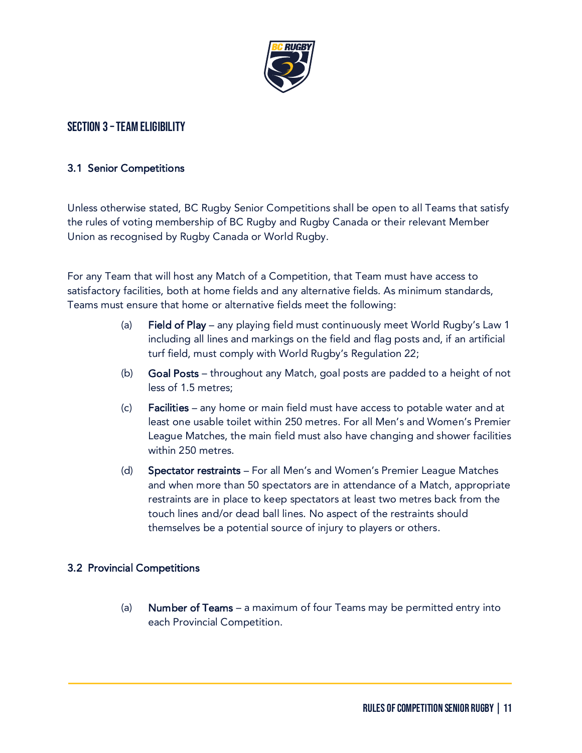

# SECTION 3 - TEAM ELIGIBILITY

#### 3.1 Senior Competitions

Unless otherwise stated, BC Rugby Senior Competitions shall be open to all Teams that satisfy the rules of voting membership of BC Rugby and Rugby Canada or their relevant Member Union as recognised by Rugby Canada or World Rugby.

For any Team that will host any Match of a Competition, that Team must have access to satisfactory facilities, both at home fields and any alternative fields. As minimum standards, Teams must ensure that home or alternative fields meet the following:

- (a) Field of Play any playing field must continuously meet World Rugby's Law 1 including all lines and markings on the field and flag posts and, if an artificial turf field, must comply with World Rugby's Regulation 22;
- (b) Goal Posts throughout any Match, goal posts are padded to a height of not less of 1.5 metres;
- (c) Facilities any home or main field must have access to potable water and at least one usable toilet within 250 metres. For all Men's and Women's Premier League Matches, the main field must also have changing and shower facilities within 250 metres.
- (d) Spectator restraints For all Men's and Women's Premier League Matches and when more than 50 spectators are in attendance of a Match, appropriate restraints are in place to keep spectators at least two metres back from the touch lines and/or dead ball lines. No aspect of the restraints should themselves be a potential source of injury to players or others.

# 3.2 Provincial Competitions

(a) Number of Teams – a maximum of four Teams may be permitted entry into each Provincial Competition.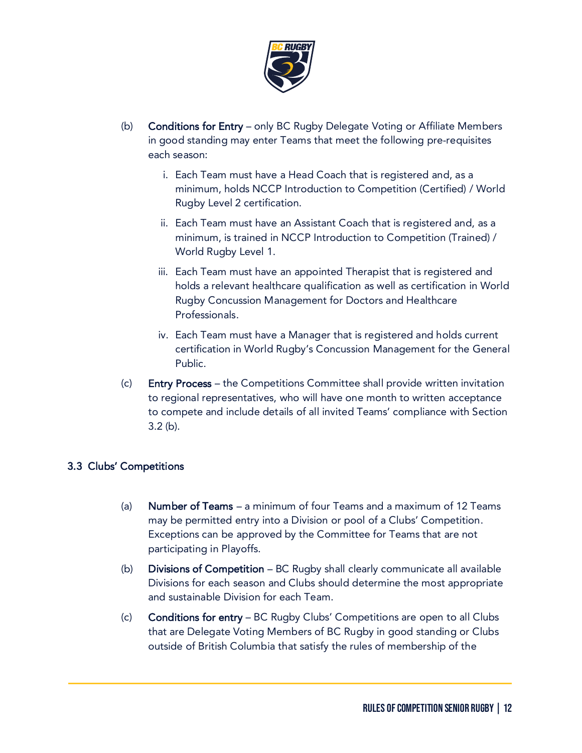

- (b) Conditions for Entry only BC Rugby Delegate Voting or Affiliate Members in good standing may enter Teams that meet the following pre-requisites each season:
	- i. Each Team must have a Head Coach that is registered and, as a minimum, holds NCCP Introduction to Competition (Certified) / World Rugby Level 2 certification.
	- ii. Each Team must have an Assistant Coach that is registered and, as a minimum, is trained in NCCP Introduction to Competition (Trained) / World Rugby Level 1.
	- iii. Each Team must have an appointed Therapist that is registered and holds a relevant healthcare qualification as well as certification in World Rugby Concussion Management for Doctors and Healthcare Professionals.
	- iv. Each Team must have a Manager that is registered and holds current certification in World Rugby's Concussion Management for the General Public.
- (c) Entry Process the Competitions Committee shall provide written invitation to regional representatives, who will have one month to written acceptance to compete and include details of all invited Teams' compliance with Section 3.2 (b).

# 3.3 Clubs' Competitions

- (a) Number of Teams a minimum of four Teams and a maximum of 12 Teams may be permitted entry into a Division or pool of a Clubs' Competition. Exceptions can be approved by the Committee for Teams that are not participating in Playoffs.
- (b) Divisions of Competition BC Rugby shall clearly communicate all available Divisions for each season and Clubs should determine the most appropriate and sustainable Division for each Team.
- (c) Conditions for entry BC Rugby Clubs' Competitions are open to all Clubs that are Delegate Voting Members of BC Rugby in good standing or Clubs outside of British Columbia that satisfy the rules of membership of the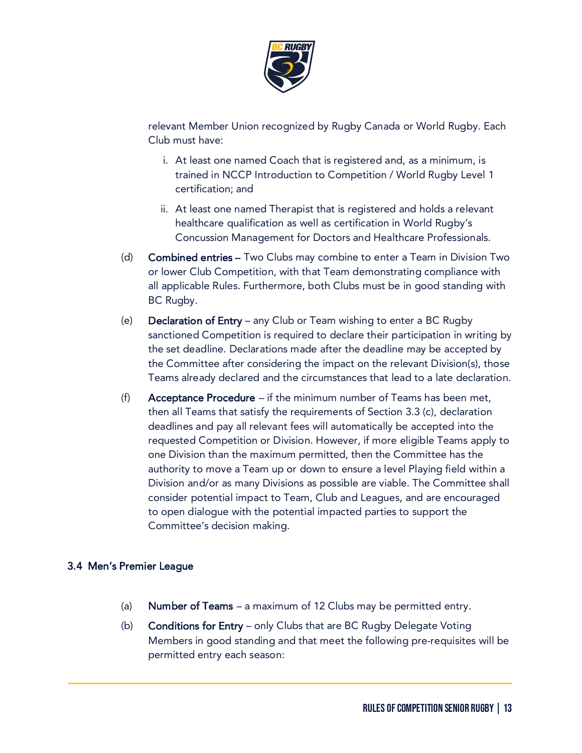

relevant Member Union recognized by Rugby Canada or World Rugby. Each Club must have:

- i. At least one named Coach that is registered and, as a minimum, is trained in NCCP Introduction to Competition / World Rugby Level 1 certification; and
- ii. At least one named Therapist that is registered and holds a relevant healthcare qualification as well as certification in World Rugby's Concussion Management for Doctors and Healthcare Professionals.
- (d) Combined entries Two Clubs may combine to enter a Team in Division Two or lower Club Competition, with that Team demonstrating compliance with all applicable Rules. Furthermore, both Clubs must be in good standing with BC Rugby.
- (e) Declaration of Entry any Club or Team wishing to enter a BC Rugby sanctioned Competition is required to declare their participation in writing by the set deadline. Declarations made after the deadline may be accepted by the Committee after considering the impact on the relevant Division(s), those Teams already declared and the circumstances that lead to a late declaration.
- (f) Acceptance Procedure  $-$  if the minimum number of Teams has been met, then all Teams that satisfy the requirements of Section 3.3 (c), declaration deadlines and pay all relevant fees will automatically be accepted into the requested Competition or Division. However, if more eligible Teams apply to one Division than the maximum permitted, then the Committee has the authority to move a Team up or down to ensure a level Playing field within a Division and/or as many Divisions as possible are viable. The Committee shall consider potential impact to Team, Club and Leagues, and are encouraged to open dialogue with the potential impacted parties to support the Committee's decision making.

# 3.4 Men's Premier League

- (a) **Number of Teams** a maximum of 12 Clubs may be permitted entry.
- (b) Conditions for Entry only Clubs that are BC Rugby Delegate Voting Members in good standing and that meet the following pre-requisites will be permitted entry each season: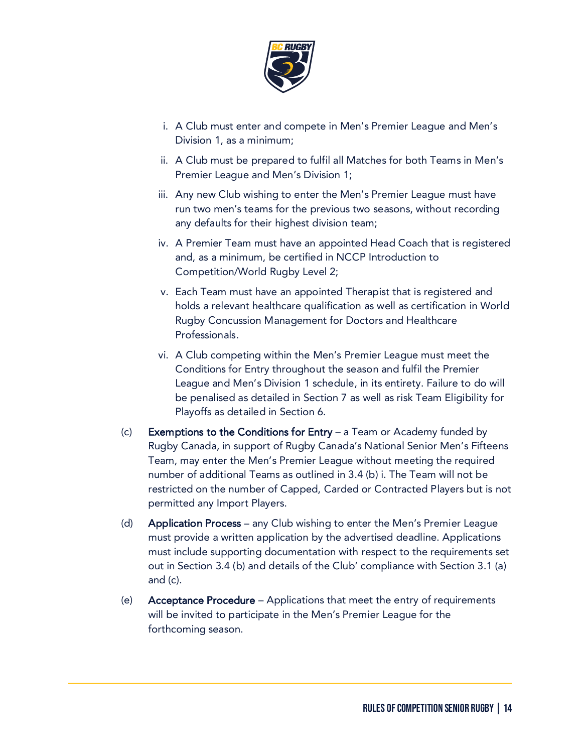

- i. A Club must enter and compete in Men's Premier League and Men's Division 1, as a minimum;
- ii. A Club must be prepared to fulfil all Matches for both Teams in Men's Premier League and Men's Division 1;
- iii. Any new Club wishing to enter the Men's Premier League must have run two men's teams for the previous two seasons, without recording any defaults for their highest division team;
- iv. A Premier Team must have an appointed Head Coach that is registered and, as a minimum, be certified in NCCP Introduction to Competition/World Rugby Level 2;
- v. Each Team must have an appointed Therapist that is registered and holds a relevant healthcare qualification as well as certification in World Rugby Concussion Management for Doctors and Healthcare Professionals.
- vi. A Club competing within the Men's Premier League must meet the Conditions for Entry throughout the season and fulfil the Premier League and Men's Division 1 schedule, in its entirety. Failure to do will be penalised as detailed in Section 7 as well as risk Team Eligibility for Playoffs as detailed in Section 6.
- $(c)$  Exemptions to the Conditions for Entry a Team or Academy funded by Rugby Canada, in support of Rugby Canada's National Senior Men's Fifteens Team, may enter the Men's Premier League without meeting the required number of additional Teams as outlined in 3.4 (b) i. The Team will not be restricted on the number of Capped, Carded or Contracted Players but is not permitted any Import Players.
- (d) Application Process any Club wishing to enter the Men's Premier League must provide a written application by the advertised deadline. Applications must include supporting documentation with respect to the requirements set out in Section 3.4 (b) and details of the Club' compliance with Section 3.1 (a) and (c).
- (e) Acceptance Procedure Applications that meet the entry of requirements will be invited to participate in the Men's Premier League for the forthcoming season.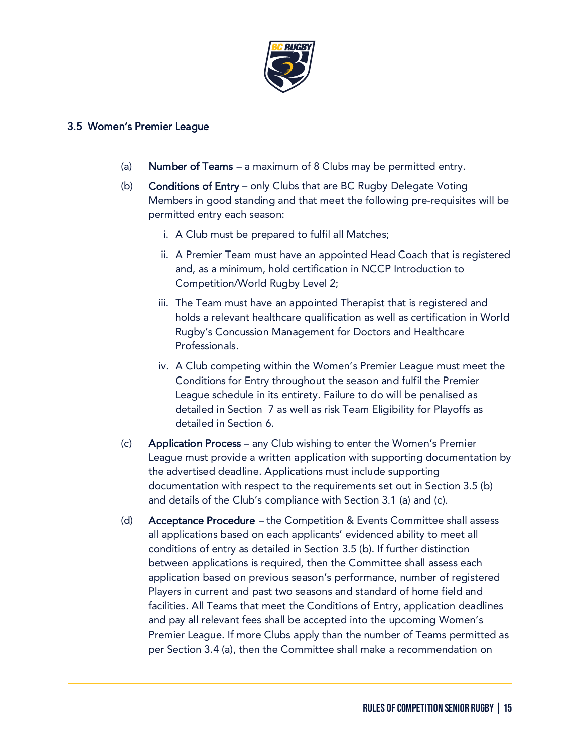

#### 3.5 Women's Premier League

- (a) **Number of Teams** a maximum of 8 Clubs may be permitted entry.
- (b) Conditions of Entry only Clubs that are BC Rugby Delegate Voting Members in good standing and that meet the following pre-requisites will be permitted entry each season:
	- i. A Club must be prepared to fulfil all Matches;
	- ii. A Premier Team must have an appointed Head Coach that is registered and, as a minimum, hold certification in NCCP Introduction to Competition/World Rugby Level 2;
	- iii. The Team must have an appointed Therapist that is registered and holds a relevant healthcare qualification as well as certification in World Rugby's Concussion Management for Doctors and Healthcare Professionals.
	- iv. A Club competing within the Women's Premier League must meet the Conditions for Entry throughout the season and fulfil the Premier League schedule in its entirety. Failure to do will be penalised as detailed in Section 7 as well as risk Team Eligibility for Playoffs as detailed in Section 6.
- (c) Application Process any Club wishing to enter the Women's Premier League must provide a written application with supporting documentation by the advertised deadline. Applications must include supporting documentation with respect to the requirements set out in Section 3.5 (b) and details of the Club's compliance with Section 3.1 (a) and (c).
- (d) Acceptance Procedure the Competition & Events Committee shall assess all applications based on each applicants' evidenced ability to meet all conditions of entry as detailed in Section 3.5 (b). If further distinction between applications is required, then the Committee shall assess each application based on previous season's performance, number of registered Players in current and past two seasons and standard of home field and facilities. All Teams that meet the Conditions of Entry, application deadlines and pay all relevant fees shall be accepted into the upcoming Women's Premier League. If more Clubs apply than the number of Teams permitted as per Section 3.4 (a), then the Committee shall make a recommendation on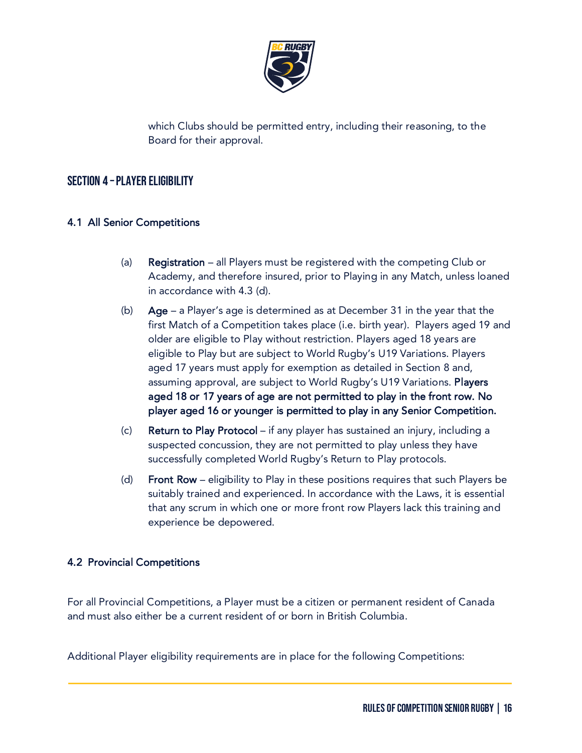

which Clubs should be permitted entry, including their reasoning, to the Board for their approval.

# Section 4 –Player Eligibility

# 4.1 All Senior Competitions

- (a) Registration all Players must be registered with the competing Club or Academy, and therefore insured, prior to Playing in any Match, unless loaned in accordance with 4.3 (d).
- (b) Age a Player's age is determined as at December 31 in the year that the first Match of a Competition takes place (i.e. birth year). Players aged 19 and older are eligible to Play without restriction. Players aged 18 years are eligible to Play but are subject to World Rugby's U19 Variations. Players aged 17 years must apply for exemption as detailed in Section 8 and, assuming approval, are subject to World Rugby's U19 Variations. Players aged 18 or 17 years of age are not permitted to play in the front row. No player aged 16 or younger is permitted to play in any Senior Competition.
- (c) Return to Play Protocol if any player has sustained an injury, including a suspected concussion, they are not permitted to play unless they have successfully completed World Rugby's Return to Play protocols.
- (d) Front Row eligibility to Play in these positions requires that such Players be suitably trained and experienced. In accordance with the Laws, it is essential that any scrum in which one or more front row Players lack this training and experience be depowered.

# 4.2 Provincial Competitions

For all Provincial Competitions, a Player must be a citizen or permanent resident of Canada and must also either be a current resident of or born in British Columbia.

Additional Player eligibility requirements are in place for the following Competitions: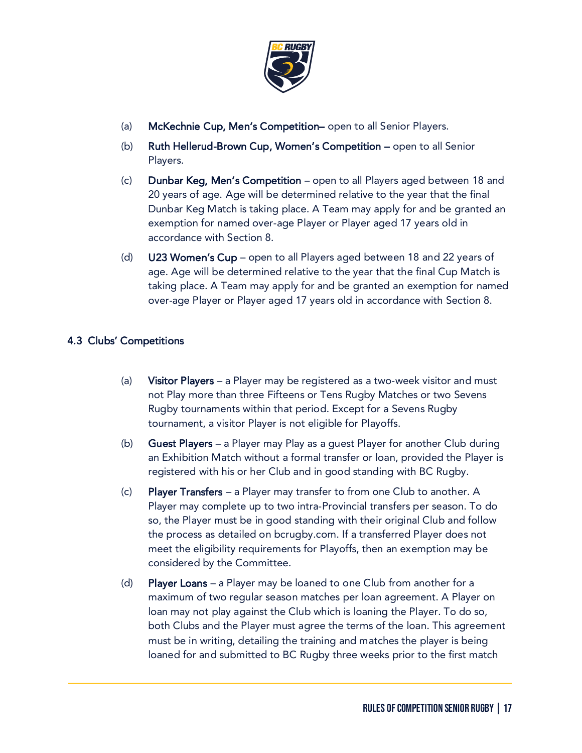

- (a) McKechnie Cup, Men's Competition– open to all Senior Players.
- (b) Ruth Hellerud-Brown Cup, Women's Competition open to all Senior Players.
- (c) Dunbar Keg, Men's Competition open to all Players aged between 18 and 20 years of age. Age will be determined relative to the year that the final Dunbar Keg Match is taking place. A Team may apply for and be granted an exemption for named over-age Player or Player aged 17 years old in accordance with Section 8.
- (d) U23 Women's Cup open to all Players aged between 18 and 22 years of age. Age will be determined relative to the year that the final Cup Match is taking place. A Team may apply for and be granted an exemption for named over-age Player or Player aged 17 years old in accordance with Section 8.

# 4.3 Clubs' Competitions

- (a) Visitor Players a Player may be registered as a two-week visitor and must not Play more than three Fifteens or Tens Rugby Matches or two Sevens Rugby tournaments within that period. Except for a Sevens Rugby tournament, a visitor Player is not eligible for Playoffs.
- (b) Guest Players a Player may Play as a guest Player for another Club during an Exhibition Match without a formal transfer or loan, provided the Player is registered with his or her Club and in good standing with BC Rugby.
- (c) Player Transfers a Player may transfer to from one Club to another. A Player may complete up to two intra-Provincial transfers per season. To do so, the Player must be in good standing with their original Club and follow the process as detailed on bcrugby.com. If a transferred Player does not meet the eligibility requirements for Playoffs, then an exemption may be considered by the Committee.
- (d) Player Loans a Player may be loaned to one Club from another for a maximum of two regular season matches per loan agreement. A Player on loan may not play against the Club which is loaning the Player. To do so, both Clubs and the Player must agree the terms of the loan. This agreement must be in writing, detailing the training and matches the player is being loaned for and submitted to BC Rugby three weeks prior to the first match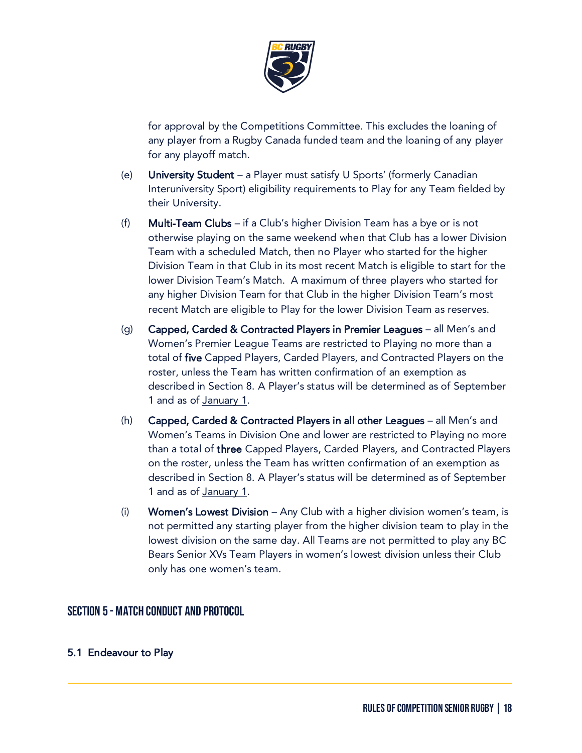

for approval by the Competitions Committee. This excludes the loaning of any player from a Rugby Canada funded team and the loaning of any player for any playoff match.

- (e) University Student a Player must satisfy U Sports' (formerly Canadian Interuniversity Sport) eligibility requirements to Play for any Team fielded by their University.
- (f) Multi-Team Clubs if a Club's higher Division Team has a bye or is not otherwise playing on the same weekend when that Club has a lower Division Team with a scheduled Match, then no Player who started for the higher Division Team in that Club in its most recent Match is eligible to start for the lower Division Team's Match. A maximum of three players who started for any higher Division Team for that Club in the higher Division Team's most recent Match are eligible to Play for the lower Division Team as reserves.
- (g) Capped, Carded & Contracted Players in Premier Leagues all Men's and Women's Premier League Teams are restricted to Playing no more than a total of five Capped Players, Carded Players, and Contracted Players on the roster, unless the Team has written confirmation of an exemption as described in Section 8. A Player's status will be determined as of September 1 and as of January 1.
- (h) Capped, Carded & Contracted Players in all other Leagues all Men's and Women's Teams in Division One and lower are restricted to Playing no more than a total of three Capped Players, Carded Players, and Contracted Players on the roster, unless the Team has written confirmation of an exemption as described in Section 8. A Player's status will be determined as of September 1 and as of January 1.
- (i) Women's Lowest Division Any Club with a higher division women's team, is not permitted any starting player from the higher division team to play in the lowest division on the same day. All Teams are not permitted to play any BC Bears Senior XVs Team Players in women's lowest division unless their Club only has one women's team.

# Section 5 - Match Conduct and Protocol

# 5.1 Endeavour to Play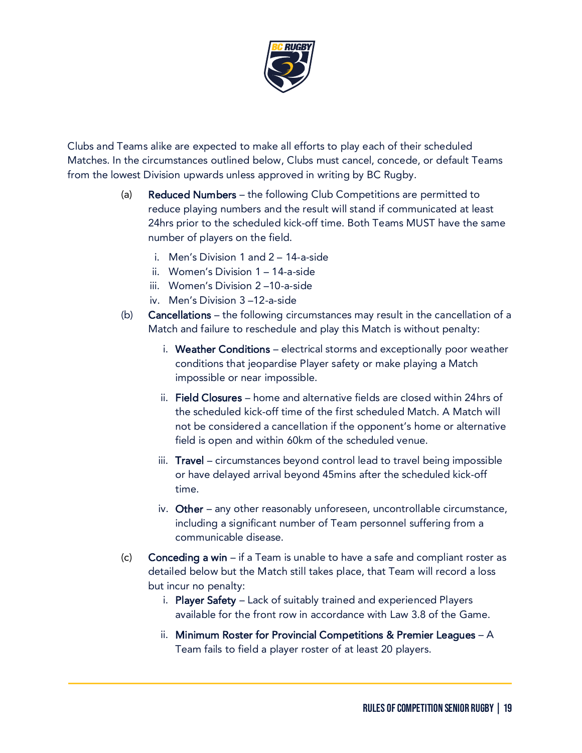

Clubs and Teams alike are expected to make all efforts to play each of their scheduled Matches. In the circumstances outlined below, Clubs must cancel, concede, or default Teams from the lowest Division upwards unless approved in writing by BC Rugby.

- (a) Reduced Numbers the following Club Competitions are permitted to reduce playing numbers and the result will stand if communicated at least 24hrs prior to the scheduled kick-off time. Both Teams MUST have the same number of players on the field.
	- i. Men's Division 1 and 2 14-a-side
	- ii. Women's Division 1 14-a-side
	- iii. Women's Division 2 –10-a-side
	- iv. Men's Division 3 –12-a-side
- (b) Cancellations the following circumstances may result in the cancellation of a Match and failure to reschedule and play this Match is without penalty:
	- i. Weather Conditions electrical storms and exceptionally poor weather conditions that jeopardise Player safety or make playing a Match impossible or near impossible.
	- ii. Field Closures home and alternative fields are closed within 24hrs of the scheduled kick-off time of the first scheduled Match. A Match will not be considered a cancellation if the opponent's home or alternative field is open and within 60km of the scheduled venue.
	- iii. Travel circumstances beyond control lead to travel being impossible or have delayed arrival beyond 45mins after the scheduled kick-off time.
	- iv. Other any other reasonably unforeseen, uncontrollable circumstance, including a significant number of Team personnel suffering from a communicable disease.
- (c) Conceding a win if a Team is unable to have a safe and compliant roster as detailed below but the Match still takes place, that Team will record a loss but incur no penalty:
	- i. Player Safety Lack of suitably trained and experienced Players available for the front row in accordance with Law 3.8 of the Game.
	- ii. Minimum Roster for Provincial Competitions & Premier Leagues A Team fails to field a player roster of at least 20 players.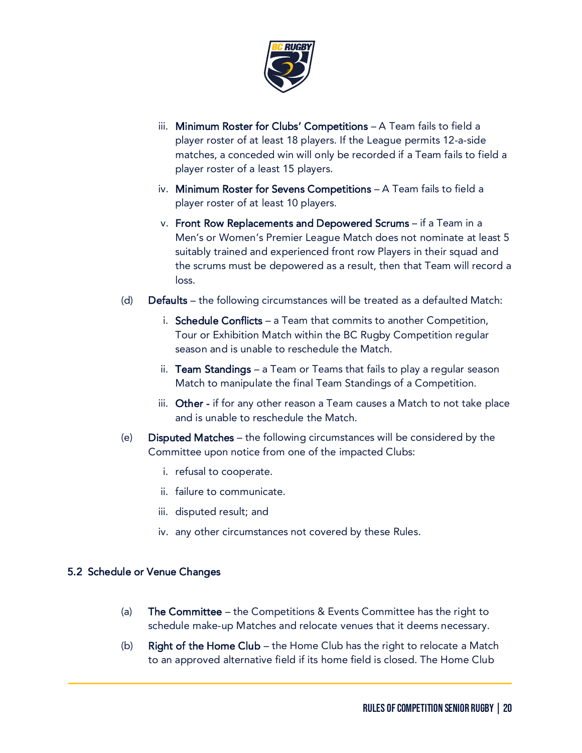

- iii. Minimum Roster for Clubs' Competitions A Team fails to field a player roster of at least 18 players. If the League permits 12-a-side matches, a conceded win will only be recorded if a Team fails to field a player roster of a least 15 players.
- iv. Minimum Roster for Sevens Competitions A Team fails to field a player roster of at least 10 players.
- v. Front Row Replacements and Depowered Scrums if a Team in a Men's or Women's Premier League Match does not nominate at least 5 suitably trained and experienced front row Players in their squad and the scrums must be depowered as a result, then that Team will record a loss.
- (d) Defaults the following circumstances will be treated as a defaulted Match:
	- i. Schedule Conflicts a Team that commits to another Competition, Tour or Exhibition Match within the BC Rugby Competition regular season and is unable to reschedule the Match.
	- ii. **Team Standings** a Team or Teams that fails to play a regular season Match to manipulate the final Team Standings of a Competition.
	- iii. Other if for any other reason a Team causes a Match to not take place and is unable to reschedule the Match.
- (e) Disputed Matches the following circumstances will be considered by the Committee upon notice from one of the impacted Clubs:
	- i. refusal to cooperate.
	- ii. failure to communicate.
	- iii. disputed result; and
	- iv. any other circumstances not covered by these Rules.

# 5.2 Schedule or Venue Changes

- (a) **The Committee** the Competitions  $\&$  Events Committee has the right to schedule make-up Matches and relocate venues that it deems necessary.
- (b) Right of the Home Club the Home Club has the right to relocate a Match to an approved alternative field if its home field is closed. The Home Club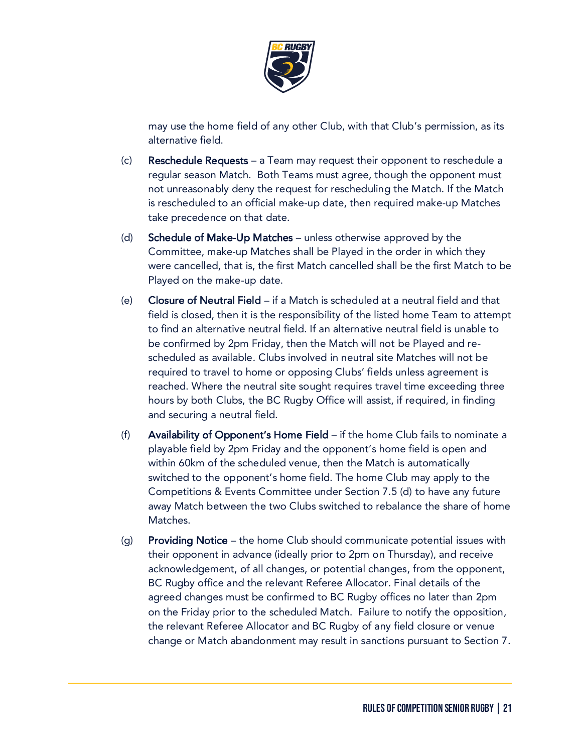

may use the home field of any other Club, with that Club's permission, as its alternative field.

- (c) Reschedule Requests a Team may request their opponent to reschedule a regular season Match. Both Teams must agree, though the opponent must not unreasonably deny the request for rescheduling the Match. If the Match is rescheduled to an official make-up date, then required make-up Matches take precedence on that date.
- (d) Schedule of Make-Up Matches unless otherwise approved by the Committee, make-up Matches shall be Played in the order in which they were cancelled, that is, the first Match cancelled shall be the first Match to be Played on the make-up date.
- (e) Closure of Neutral Field if a Match is scheduled at a neutral field and that field is closed, then it is the responsibility of the listed home Team to attempt to find an alternative neutral field. If an alternative neutral field is unable to be confirmed by 2pm Friday, then the Match will not be Played and rescheduled as available. Clubs involved in neutral site Matches will not be required to travel to home or opposing Clubs' fields unless agreement is reached. Where the neutral site sought requires travel time exceeding three hours by both Clubs, the BC Rugby Office will assist, if required, in finding and securing a neutral field.
- (f) Availability of Opponent's Home Field if the home Club fails to nominate a playable field by 2pm Friday and the opponent's home field is open and within 60km of the scheduled venue, then the Match is automatically switched to the opponent's home field. The home Club may apply to the Competitions & Events Committee under Section 7.5 (d) to have any future away Match between the two Clubs switched to rebalance the share of home Matches.
- (g) Providing Notice the home Club should communicate potential issues with their opponent in advance (ideally prior to 2pm on Thursday), and receive acknowledgement, of all changes, or potential changes, from the opponent, BC Rugby office and the relevant Referee Allocator. Final details of the agreed changes must be confirmed to BC Rugby offices no later than 2pm on the Friday prior to the scheduled Match. Failure to notify the opposition, the relevant Referee Allocator and BC Rugby of any field closure or venue change or Match abandonment may result in sanctions pursuant to Section 7.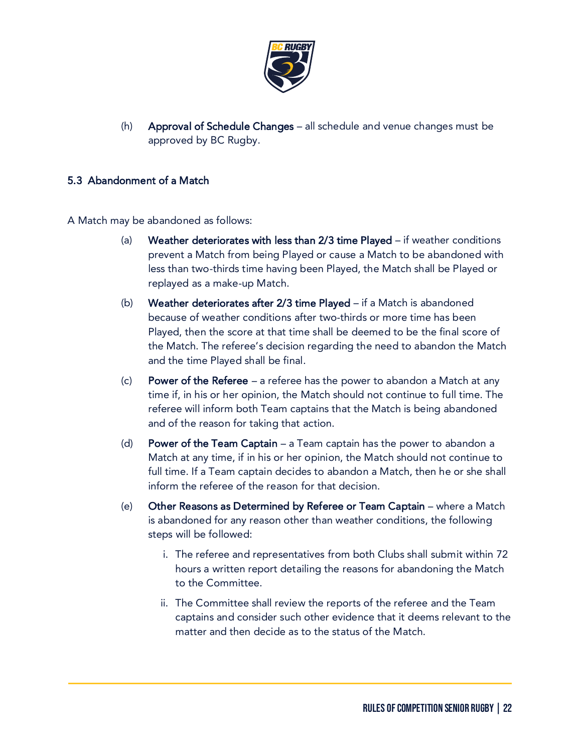

(h) Approval of Schedule Changes – all schedule and venue changes must be approved by BC Rugby.

# 5.3 Abandonment of a Match

A Match may be abandoned as follows:

- (a) Weather deteriorates with less than 2/3 time Played if weather conditions prevent a Match from being Played or cause a Match to be abandoned with less than two-thirds time having been Played, the Match shall be Played or replayed as a make-up Match.
- (b) Weather deteriorates after 2/3 time Played if a Match is abandoned because of weather conditions after two-thirds or more time has been Played, then the score at that time shall be deemed to be the final score of the Match. The referee's decision regarding the need to abandon the Match and the time Played shall be final.
- (c) Power of the Referee  $-$  a referee has the power to abandon a Match at any time if, in his or her opinion, the Match should not continue to full time. The referee will inform both Team captains that the Match is being abandoned and of the reason for taking that action.
- (d) Power of the Team Captain  $-$  a Team captain has the power to abandon a Match at any time, if in his or her opinion, the Match should not continue to full time. If a Team captain decides to abandon a Match, then he or she shall inform the referee of the reason for that decision.
- (e) Other Reasons as Determined by Referee or Team Captain where a Match is abandoned for any reason other than weather conditions, the following steps will be followed:
	- i. The referee and representatives from both Clubs shall submit within 72 hours a written report detailing the reasons for abandoning the Match to the Committee.
	- ii. The Committee shall review the reports of the referee and the Team captains and consider such other evidence that it deems relevant to the matter and then decide as to the status of the Match.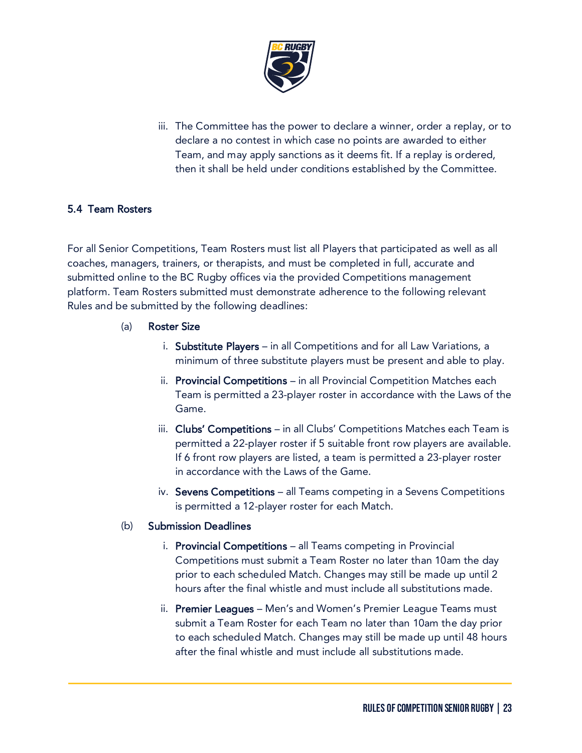

iii. The Committee has the power to declare a winner, order a replay, or to declare a no contest in which case no points are awarded to either Team, and may apply sanctions as it deems fit. If a replay is ordered, then it shall be held under conditions established by the Committee.

# 5.4 Team Rosters

For all Senior Competitions, Team Rosters must list all Players that participated as well as all coaches, managers, trainers, or therapists, and must be completed in full, accurate and submitted online to the BC Rugby offices via the provided Competitions management platform. Team Rosters submitted must demonstrate adherence to the following relevant Rules and be submitted by the following deadlines:

- (a) Roster Size
	- i. Substitute Players in all Competitions and for all Law Variations, a minimum of three substitute players must be present and able to play.
	- ii. Provincial Competitions in all Provincial Competition Matches each Team is permitted a 23-player roster in accordance with the Laws of the Game.
	- iii. Clubs' Competitions in all Clubs' Competitions Matches each Team is permitted a 22-player roster if 5 suitable front row players are available. If 6 front row players are listed, a team is permitted a 23-player roster in accordance with the Laws of the Game.
	- iv. Sevens Competitions all Teams competing in a Sevens Competitions is permitted a 12-player roster for each Match.

#### (b) Submission Deadlines

- i. Provincial Competitions all Teams competing in Provincial Competitions must submit a Team Roster no later than 10am the day prior to each scheduled Match. Changes may still be made up until 2 hours after the final whistle and must include all substitutions made.
- ii. Premier Leagues Men's and Women's Premier League Teams must submit a Team Roster for each Team no later than 10am the day prior to each scheduled Match. Changes may still be made up until 48 hours after the final whistle and must include all substitutions made.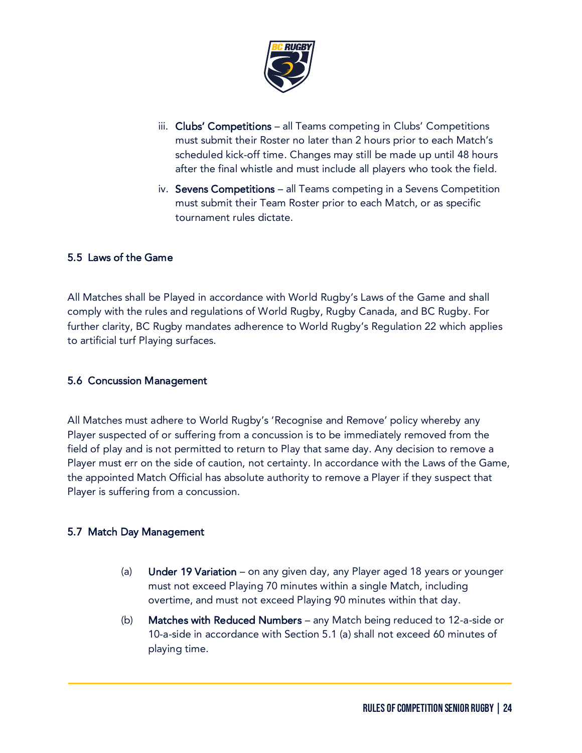

- iii. Clubs' Competitions all Teams competing in Clubs' Competitions must submit their Roster no later than 2 hours prior to each Match's scheduled kick-off time. Changes may still be made up until 48 hours after the final whistle and must include all players who took the field.
- iv. Sevens Competitions all Teams competing in a Sevens Competition must submit their Team Roster prior to each Match, or as specific tournament rules dictate.

# 5.5 Laws of the Game

All Matches shall be Played in accordance with World Rugby's Laws of the Game and shall comply with the rules and regulations of World Rugby, Rugby Canada, and BC Rugby. For further clarity, BC Rugby mandates adherence to World Rugby's Regulation 22 which applies to artificial turf Playing surfaces.

#### 5.6 Concussion Management

All Matches must adhere to World Rugby's 'Recognise and Remove' policy whereby any Player suspected of or suffering from a concussion is to be immediately removed from the field of play and is not permitted to return to Play that same day. Any decision to remove a Player must err on the side of caution, not certainty. In accordance with the Laws of the Game, the appointed Match Official has absolute authority to remove a Player if they suspect that Player is suffering from a concussion.

# 5.7 Match Day Management

- (a) **Under 19 Variation** on any given day, any Player aged 18 years or younger must not exceed Playing 70 minutes within a single Match, including overtime, and must not exceed Playing 90 minutes within that day.
- (b) Matches with Reduced Numbers any Match being reduced to 12-a-side or 10-a-side in accordance with Section 5.1 (a) shall not exceed 60 minutes of playing time.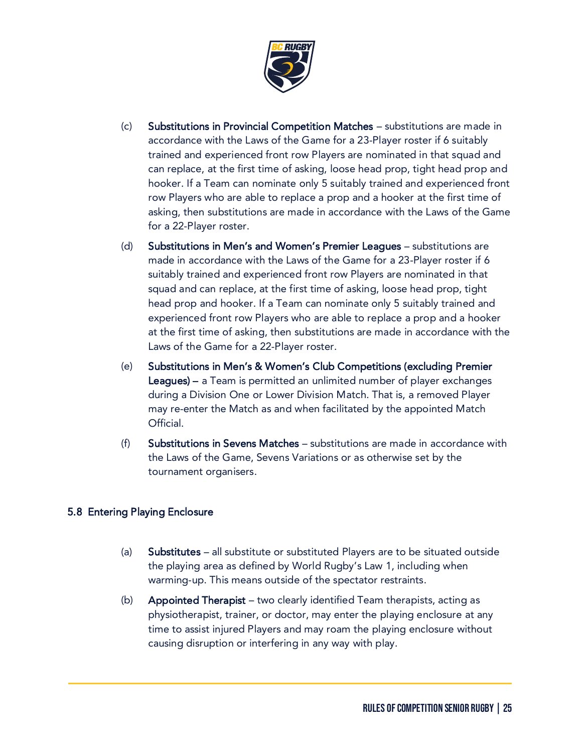

- (c) Substitutions in Provincial Competition Matches substitutions are made in accordance with the Laws of the Game for a 23-Player roster if 6 suitably trained and experienced front row Players are nominated in that squad and can replace, at the first time of asking, loose head prop, tight head prop and hooker. If a Team can nominate only 5 suitably trained and experienced front row Players who are able to replace a prop and a hooker at the first time of asking, then substitutions are made in accordance with the Laws of the Game for a 22-Player roster.
- (d) Substitutions in Men's and Women's Premier Leagues substitutions are made in accordance with the Laws of the Game for a 23-Player roster if 6 suitably trained and experienced front row Players are nominated in that squad and can replace, at the first time of asking, loose head prop, tight head prop and hooker. If a Team can nominate only 5 suitably trained and experienced front row Players who are able to replace a prop and a hooker at the first time of asking, then substitutions are made in accordance with the Laws of the Game for a 22-Player roster.
- (e) Substitutions in Men's & Women's Club Competitions (excluding Premier Leagues) – a Team is permitted an unlimited number of player exchanges during a Division One or Lower Division Match. That is, a removed Player may re-enter the Match as and when facilitated by the appointed Match Official.
- (f) Substitutions in Sevens Matches substitutions are made in accordance with the Laws of the Game, Sevens Variations or as otherwise set by the tournament organisers.

# 5.8 Entering Playing Enclosure

- (a) Substitutes all substitute or substituted Players are to be situated outside the playing area as defined by World Rugby's Law 1, including when warming-up. This means outside of the spectator restraints.
- (b) Appointed Therapist two clearly identified Team therapists, acting as physiotherapist, trainer, or doctor, may enter the playing enclosure at any time to assist injured Players and may roam the playing enclosure without causing disruption or interfering in any way with play.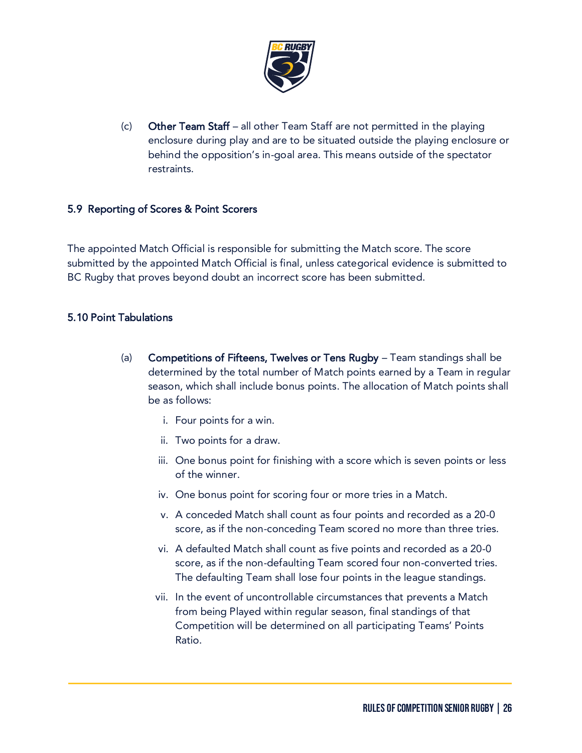

(c) Other Team Staff – all other Team Staff are not permitted in the playing enclosure during play and are to be situated outside the playing enclosure or behind the opposition's in-goal area. This means outside of the spectator restraints.

# 5.9 Reporting of Scores & Point Scorers

The appointed Match Official is responsible for submitting the Match score. The score submitted by the appointed Match Official is final, unless categorical evidence is submitted to BC Rugby that proves beyond doubt an incorrect score has been submitted.

# 5.10 Point Tabulations

- (a) Competitions of Fifteens, Twelves or Tens Rugby Team standings shall be determined by the total number of Match points earned by a Team in regular season, which shall include bonus points. The allocation of Match points shall be as follows:
	- i. Four points for a win.
	- ii. Two points for a draw.
	- iii. One bonus point for finishing with a score which is seven points or less of the winner.
	- iv. One bonus point for scoring four or more tries in a Match.
	- v. A conceded Match shall count as four points and recorded as a 20-0 score, as if the non-conceding Team scored no more than three tries.
	- vi. A defaulted Match shall count as five points and recorded as a 20-0 score, as if the non-defaulting Team scored four non-converted tries. The defaulting Team shall lose four points in the league standings.
	- vii. In the event of uncontrollable circumstances that prevents a Match from being Played within regular season, final standings of that Competition will be determined on all participating Teams' Points Ratio.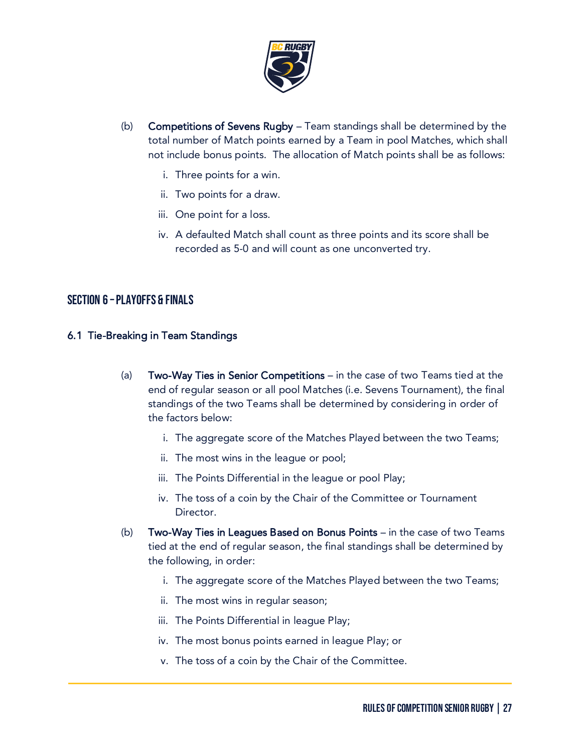

- (b) Competitions of Sevens Rugby Team standings shall be determined by the total number of Match points earned by a Team in pool Matches, which shall not include bonus points. The allocation of Match points shall be as follows:
	- i. Three points for a win.
	- ii. Two points for a draw.
	- iii. One point for a loss.
	- iv. A defaulted Match shall count as three points and its score shall be recorded as 5-0 and will count as one unconverted try.

# Section 6 –Playoffs & Finals

#### 6.1 Tie-Breaking in Team Standings

- (a) Two-Way Ties in Senior Competitions in the case of two Teams tied at the end of regular season or all pool Matches (i.e. Sevens Tournament), the final standings of the two Teams shall be determined by considering in order of the factors below:
	- i. The aggregate score of the Matches Played between the two Teams;
	- ii. The most wins in the league or pool;
	- iii. The Points Differential in the league or pool Play;
	- iv. The toss of a coin by the Chair of the Committee or Tournament Director.
- (b) Two-Way Ties in Leagues Based on Bonus Points in the case of two Teams tied at the end of regular season, the final standings shall be determined by the following, in order:
	- i. The aggregate score of the Matches Played between the two Teams;
	- ii. The most wins in regular season;
	- iii. The Points Differential in league Play;
	- iv. The most bonus points earned in league Play; or
	- v. The toss of a coin by the Chair of the Committee.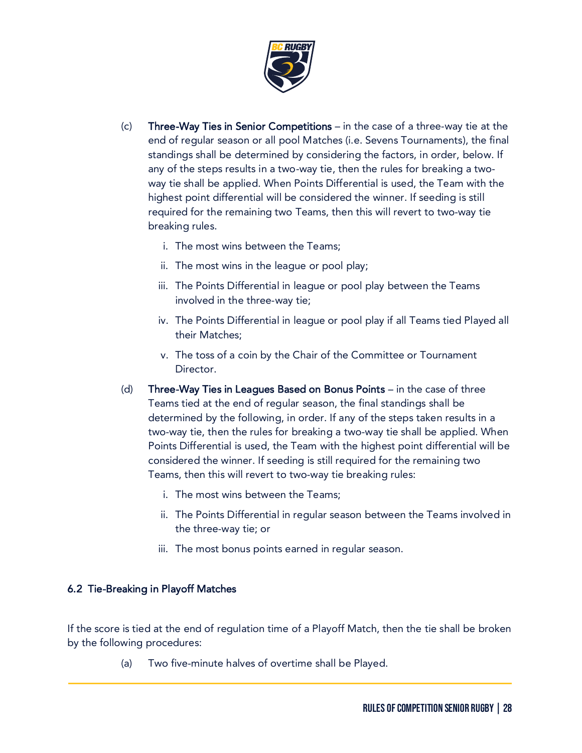

- (c) Three-Way Ties in Senior Competitions in the case of a three-way tie at the end of regular season or all pool Matches (i.e. Sevens Tournaments), the final standings shall be determined by considering the factors, in order, below. If any of the steps results in a two-way tie, then the rules for breaking a twoway tie shall be applied. When Points Differential is used, the Team with the highest point differential will be considered the winner. If seeding is still required for the remaining two Teams, then this will revert to two-way tie breaking rules.
	- i. The most wins between the Teams;
	- ii. The most wins in the league or pool play;
	- iii. The Points Differential in league or pool play between the Teams involved in the three-way tie;
	- iv. The Points Differential in league or pool play if all Teams tied Played all their Matches;
	- v. The toss of a coin by the Chair of the Committee or Tournament Director.
- (d) Three-Way Ties in Leagues Based on Bonus Points in the case of three Teams tied at the end of regular season, the final standings shall be determined by the following, in order. If any of the steps taken results in a two-way tie, then the rules for breaking a two-way tie shall be applied. When Points Differential is used, the Team with the highest point differential will be considered the winner. If seeding is still required for the remaining two Teams, then this will revert to two-way tie breaking rules:
	- i. The most wins between the Teams;
	- ii. The Points Differential in regular season between the Teams involved in the three-way tie; or
	- iii. The most bonus points earned in regular season.

# 6.2 Tie-Breaking in Playoff Matches

If the score is tied at the end of regulation time of a Playoff Match, then the tie shall be broken by the following procedures:

(a) Two five-minute halves of overtime shall be Played.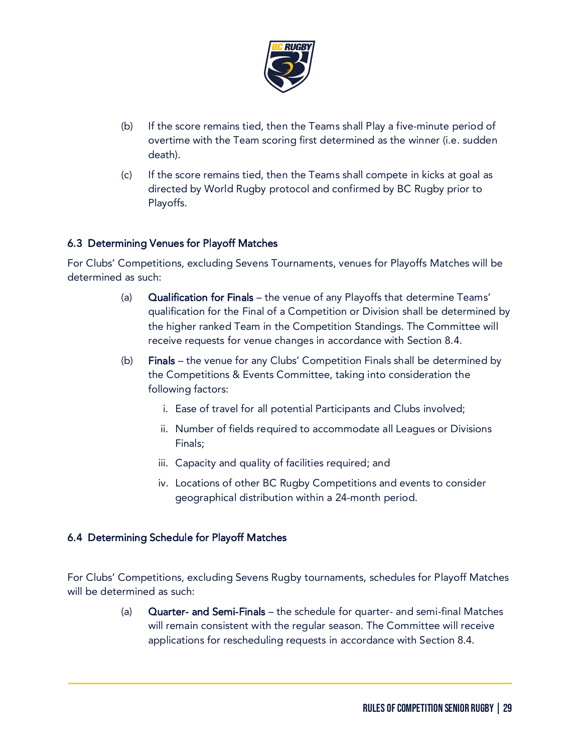

- (b) If the score remains tied, then the Teams shall Play a five-minute period of overtime with the Team scoring first determined as the winner (i.e. sudden death).
- (c) If the score remains tied, then the Teams shall compete in kicks at goal as directed by World Rugby protocol and confirmed by BC Rugby prior to Playoffs.

# 6.3 Determining Venues for Playoff Matches

For Clubs' Competitions, excluding Sevens Tournaments, venues for Playoffs Matches will be determined as such:

- (a) Qualification for Finals the venue of any Playoffs that determine Teams' qualification for the Final of a Competition or Division shall be determined by the higher ranked Team in the Competition Standings. The Committee will receive requests for venue changes in accordance with Section 8.4.
- (b) Finals the venue for any Clubs' Competition Finals shall be determined by the Competitions & Events Committee, taking into consideration the following factors:
	- i. Ease of travel for all potential Participants and Clubs involved;
	- ii. Number of fields required to accommodate all Leagues or Divisions Finals;
	- iii. Capacity and quality of facilities required; and
	- iv. Locations of other BC Rugby Competitions and events to consider geographical distribution within a 24-month period.

# 6.4 Determining Schedule for Playoff Matches

For Clubs' Competitions, excluding Sevens Rugby tournaments, schedules for Playoff Matches will be determined as such:

> (a) Quarter- and Semi-Finals – the schedule for quarter- and semi-final Matches will remain consistent with the regular season. The Committee will receive applications for rescheduling requests in accordance with Section 8.4.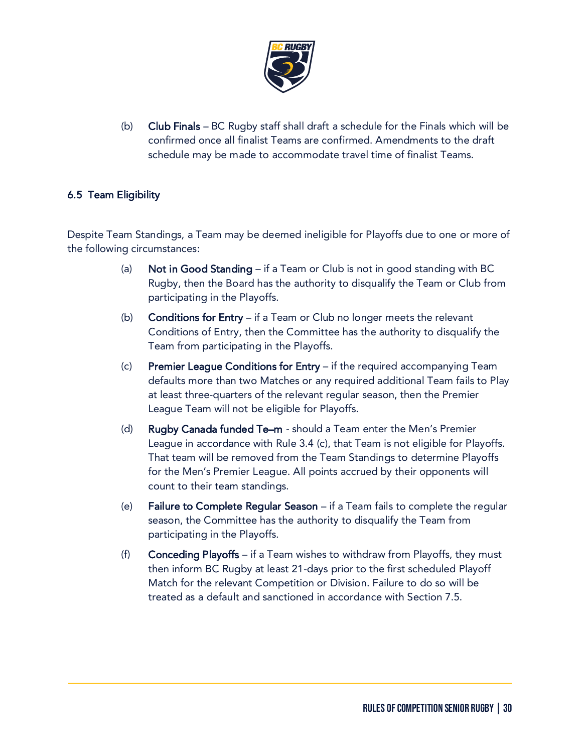

(b) Club Finals – BC Rugby staff shall draft a schedule for the Finals which will be confirmed once all finalist Teams are confirmed. Amendments to the draft schedule may be made to accommodate travel time of finalist Teams.

# 6.5 Team Eligibility

Despite Team Standings, a Team may be deemed ineligible for Playoffs due to one or more of the following circumstances:

- (a) Not in Good Standing if a Team or Club is not in good standing with BC Rugby, then the Board has the authority to disqualify the Team or Club from participating in the Playoffs.
- (b) Conditions for Entry if a Team or Club no longer meets the relevant Conditions of Entry, then the Committee has the authority to disqualify the Team from participating in the Playoffs.
- (c) Premier League Conditions for Entry if the required accompanying Team defaults more than two Matches or any required additional Team fails to Play at least three-quarters of the relevant regular season, then the Premier League Team will not be eligible for Playoffs.
- (d) Rugby Canada funded Te–m should a Team enter the Men's Premier League in accordance with Rule 3.4 (c), that Team is not eligible for Playoffs. That team will be removed from the Team Standings to determine Playoffs for the Men's Premier League. All points accrued by their opponents will count to their team standings.
- (e) Failure to Complete Regular Season if a Team fails to complete the regular season, the Committee has the authority to disqualify the Team from participating in the Playoffs.
- (f) Conceding Playoffs if a Team wishes to withdraw from Playoffs, they must then inform BC Rugby at least 21-days prior to the first scheduled Playoff Match for the relevant Competition or Division. Failure to do so will be treated as a default and sanctioned in accordance with Section 7.5.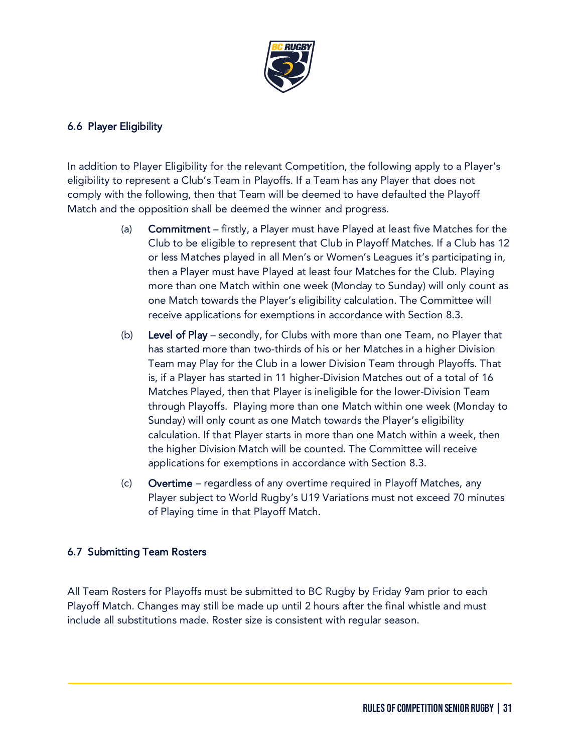

# 6.6 Player Eligibility

In addition to Player Eligibility for the relevant Competition, the following apply to a Player's eligibility to represent a Club's Team in Playoffs. If a Team has any Player that does not comply with the following, then that Team will be deemed to have defaulted the Playoff Match and the opposition shall be deemed the winner and progress.

- (a) Commitment firstly, a Player must have Played at least five Matches for the Club to be eligible to represent that Club in Playoff Matches. If a Club has 12 or less Matches played in all Men's or Women's Leagues it's participating in, then a Player must have Played at least four Matches for the Club. Playing more than one Match within one week (Monday to Sunday) will only count as one Match towards the Player's eligibility calculation. The Committee will receive applications for exemptions in accordance with Section 8.3.
- (b) Level of Play secondly, for Clubs with more than one Team, no Player that has started more than two-thirds of his or her Matches in a higher Division Team may Play for the Club in a lower Division Team through Playoffs. That is, if a Player has started in 11 higher-Division Matches out of a total of 16 Matches Played, then that Player is ineligible for the lower-Division Team through Playoffs. Playing more than one Match within one week (Monday to Sunday) will only count as one Match towards the Player's eligibility calculation. If that Player starts in more than one Match within a week, then the higher Division Match will be counted. The Committee will receive applications for exemptions in accordance with Section 8.3.
- (c) Overtime regardless of any overtime required in Playoff Matches, any Player subject to World Rugby's U19 Variations must not exceed 70 minutes of Playing time in that Playoff Match.

# 6.7 Submitting Team Rosters

All Team Rosters for Playoffs must be submitted to BC Rugby by Friday 9am prior to each Playoff Match. Changes may still be made up until 2 hours after the final whistle and must include all substitutions made. Roster size is consistent with regular season.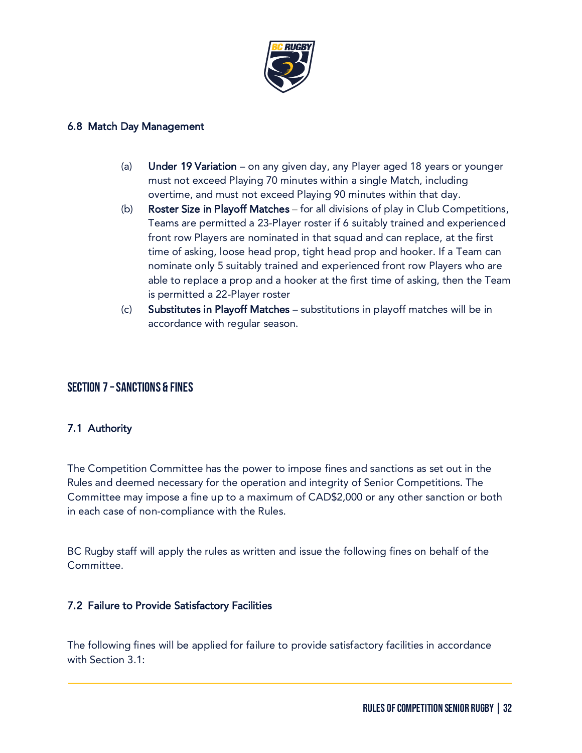

#### 6.8 Match Day Management

- (a) Under 19 Variation on any given day, any Player aged 18 years or younger must not exceed Playing 70 minutes within a single Match, including overtime, and must not exceed Playing 90 minutes within that day.
- (b) Roster Size in Playoff Matches for all divisions of play in Club Competitions, Teams are permitted a 23-Player roster if 6 suitably trained and experienced front row Players are nominated in that squad and can replace, at the first time of asking, loose head prop, tight head prop and hooker. If a Team can nominate only 5 suitably trained and experienced front row Players who are able to replace a prop and a hooker at the first time of asking, then the Team is permitted a 22-Player roster
- (c) Substitutes in Playoff Matches substitutions in playoff matches will be in accordance with regular season.

# Section 7 –Sanctions & Fines

# 7.1 Authority

The Competition Committee has the power to impose fines and sanctions as set out in the Rules and deemed necessary for the operation and integrity of Senior Competitions. The Committee may impose a fine up to a maximum of CAD\$2,000 or any other sanction or both in each case of non-compliance with the Rules.

BC Rugby staff will apply the rules as written and issue the following fines on behalf of the Committee.

# 7.2 Failure to Provide Satisfactory Facilities

The following fines will be applied for failure to provide satisfactory facilities in accordance with Section 3.1: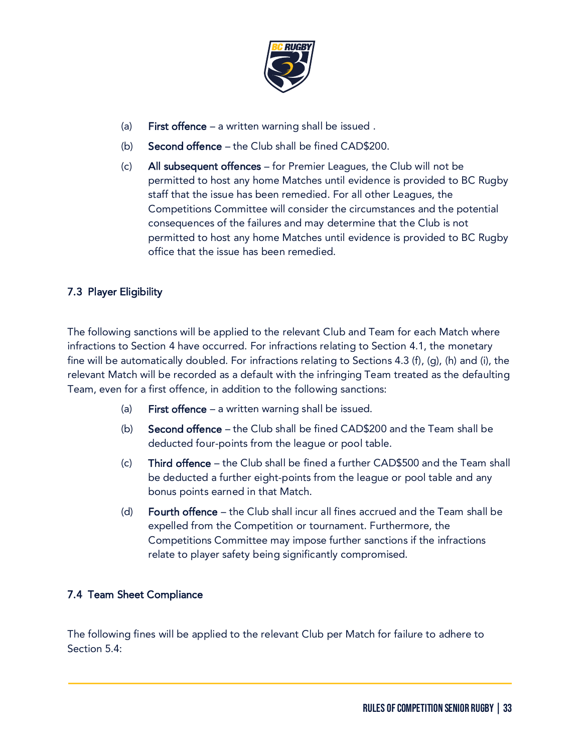

- (a) First offence a written warning shall be issued.
- (b) Second offence the Club shall be fined CAD\$200.
- (c) All subsequent offences for Premier Leagues, the Club will not be permitted to host any home Matches until evidence is provided to BC Rugby staff that the issue has been remedied. For all other Leagues, the Competitions Committee will consider the circumstances and the potential consequences of the failures and may determine that the Club is not permitted to host any home Matches until evidence is provided to BC Rugby office that the issue has been remedied.

# 7.3 Player Eligibility

The following sanctions will be applied to the relevant Club and Team for each Match where infractions to Section 4 have occurred. For infractions relating to Section 4.1, the monetary fine will be automatically doubled. For infractions relating to Sections 4.3 (f), (g), (h) and (i), the relevant Match will be recorded as a default with the infringing Team treated as the defaulting Team, even for a first offence, in addition to the following sanctions:

- (a) First offence a written warning shall be issued.
- (b) Second offence the Club shall be fined CAD\$200 and the Team shall be deducted four-points from the league or pool table.
- (c) Third offence the Club shall be fined a further CAD\$500 and the Team shall be deducted a further eight-points from the league or pool table and any bonus points earned in that Match.
- (d) Fourth offence the Club shall incur all fines accrued and the Team shall be expelled from the Competition or tournament. Furthermore, the Competitions Committee may impose further sanctions if the infractions relate to player safety being significantly compromised.

# 7.4 Team Sheet Compliance

The following fines will be applied to the relevant Club per Match for failure to adhere to Section 5.4: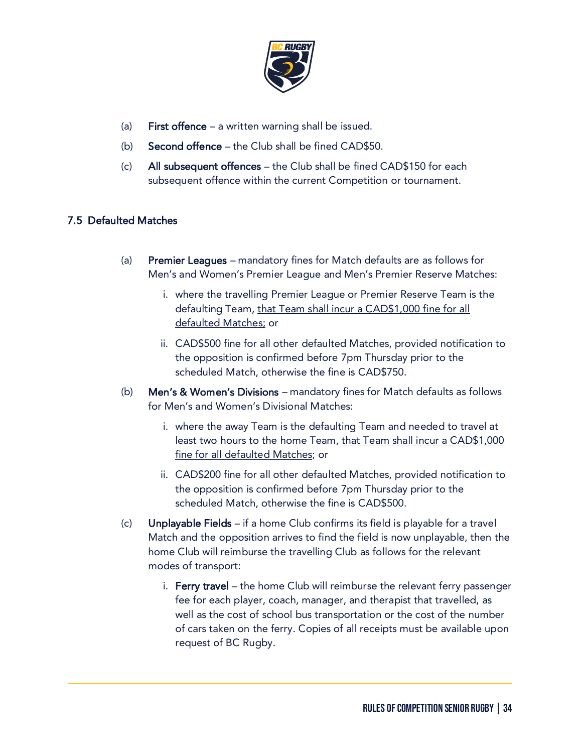

- (a) First offence a written warning shall be issued.
- (b) Second offence the Club shall be fined CAD\$50.
- (c) All subsequent offences the Club shall be fined CAD\$150 for each subsequent offence within the current Competition or tournament.

# 7.5 Defaulted Matches

- (a) Premier Leagues mandatory fines for Match defaults are as follows for Men's and Women's Premier League and Men's Premier Reserve Matches:
	- i. where the travelling Premier League or Premier Reserve Team is the defaulting Team, that Team shall incur a CAD\$1,000 fine for all defaulted Matches; or
	- ii. CAD\$500 fine for all other defaulted Matches, provided notification to the opposition is confirmed before 7pm Thursday prior to the scheduled Match, otherwise the fine is CAD\$750.
- (b) Men's & Women's Divisions mandatory fines for Match defaults as follows for Men's and Women's Divisional Matches:
	- i. where the away Team is the defaulting Team and needed to travel at least two hours to the home Team, that Team shall incur a CAD\$1,000 fine for all defaulted Matches; or
	- ii. CAD\$200 fine for all other defaulted Matches, provided notification to the opposition is confirmed before 7pm Thursday prior to the scheduled Match, otherwise the fine is CAD\$500.
- (c) Unplayable Fields if a home Club confirms its field is playable for a travel Match and the opposition arrives to find the field is now unplayable, then the home Club will reimburse the travelling Club as follows for the relevant modes of transport:
	- i. Ferry travel the home Club will reimburse the relevant ferry passenger fee for each player, coach, manager, and therapist that travelled, as well as the cost of school bus transportation or the cost of the number of cars taken on the ferry. Copies of all receipts must be available upon request of BC Rugby.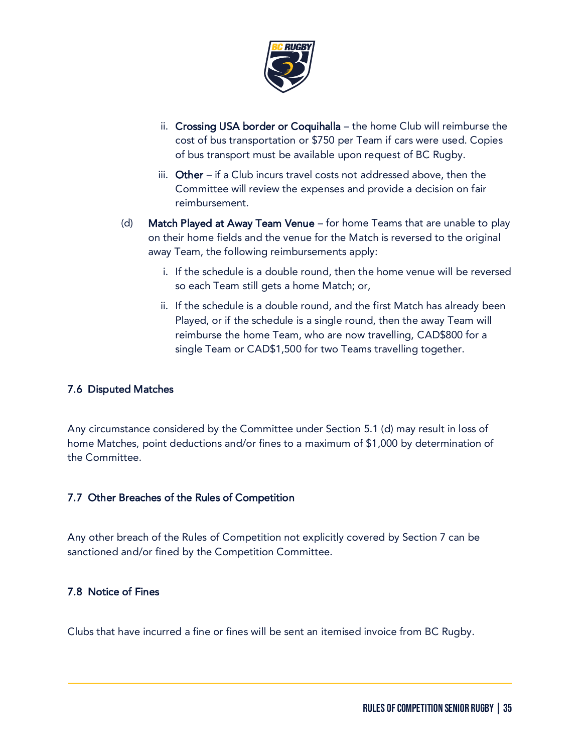

- ii. Crossing USA border or Coquihalla the home Club will reimburse the cost of bus transportation or \$750 per Team if cars were used. Copies of bus transport must be available upon request of BC Rugby.
- iii. Other if a Club incurs travel costs not addressed above, then the Committee will review the expenses and provide a decision on fair reimbursement.
- (d) Match Played at Away Team Venue for home Teams that are unable to play on their home fields and the venue for the Match is reversed to the original away Team, the following reimbursements apply:
	- i. If the schedule is a double round, then the home venue will be reversed so each Team still gets a home Match; or,
	- ii. If the schedule is a double round, and the first Match has already been Played, or if the schedule is a single round, then the away Team will reimburse the home Team, who are now travelling, CAD\$800 for a single Team or CAD\$1,500 for two Teams travelling together.

# 7.6 Disputed Matches

Any circumstance considered by the Committee under Section 5.1 (d) may result in loss of home Matches, point deductions and/or fines to a maximum of \$1,000 by determination of the Committee.

# 7.7 Other Breaches of the Rules of Competition

Any other breach of the Rules of Competition not explicitly covered by Section 7 can be sanctioned and/or fined by the Competition Committee.

# 7.8 Notice of Fines

Clubs that have incurred a fine or fines will be sent an itemised invoice from BC Rugby.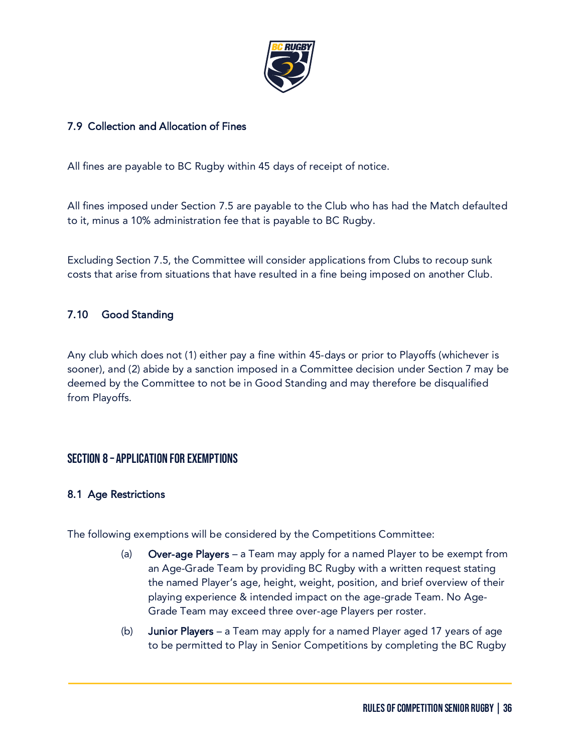

# 7.9 Collection and Allocation of Fines

All fines are payable to BC Rugby within 45 days of receipt of notice.

All fines imposed under Section 7.5 are payable to the Club who has had the Match defaulted to it, minus a 10% administration fee that is payable to BC Rugby.

Excluding Section 7.5, the Committee will consider applications from Clubs to recoup sunk costs that arise from situations that have resulted in a fine being imposed on another Club.

# 7.10 Good Standing

Any club which does not (1) either pay a fine within 45-days or prior to Playoffs (whichever is sooner), and (2) abide by a sanction imposed in a Committee decision under Section 7 may be deemed by the Committee to not be in Good Standing and may therefore be disqualified from Playoffs.

# Section 8 – Application for Exemptions

# 8.1 Age Restrictions

The following exemptions will be considered by the Competitions Committee:

- (a) Over-age Players a Team may apply for a named Player to be exempt from an Age-Grade Team by providing BC Rugby with a written request stating the named Player's age, height, weight, position, and brief overview of their playing experience & intended impact on the age-grade Team. No Age-Grade Team may exceed three over-age Players per roster.
- (b) Junior Players a Team may apply for a named Player aged 17 years of age to be permitted to Play in Senior Competitions by completing the BC Rugby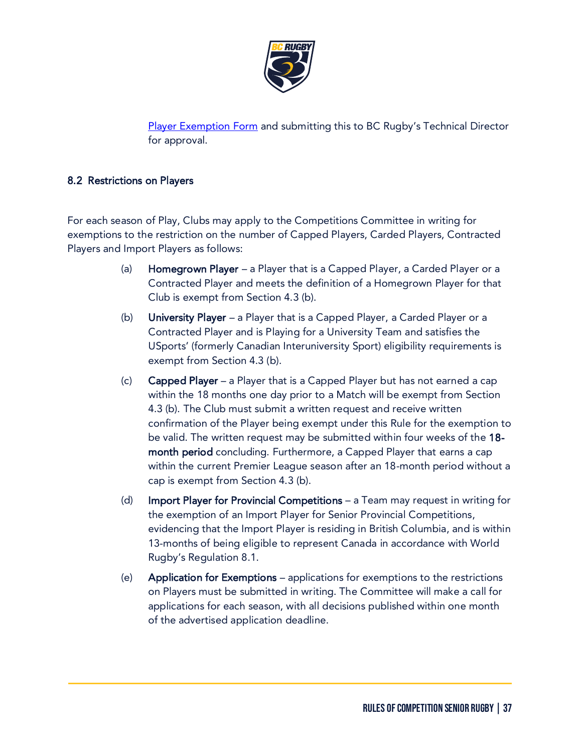

[Player Exemption Form](https://bcrugby.com/resources/players-parents/#Player-Clearance) and submitting this to BC Rugby's Technical Director for approval.

# 8.2 Restrictions on Players

For each season of Play, Clubs may apply to the Competitions Committee in writing for exemptions to the restriction on the number of Capped Players, Carded Players, Contracted Players and Import Players as follows:

- (a) Homegrown Player a Player that is a Capped Player, a Carded Player or a Contracted Player and meets the definition of a Homegrown Player for that Club is exempt from Section 4.3 (b).
- (b) University Player a Player that is a Capped Player, a Carded Player or a Contracted Player and is Playing for a University Team and satisfies the USports' (formerly Canadian Interuniversity Sport) eligibility requirements is exempt from Section 4.3 (b).
- (c) Capped Player a Player that is a Capped Player but has not earned a cap within the 18 months one day prior to a Match will be exempt from Section 4.3 (b). The Club must submit a written request and receive written confirmation of the Player being exempt under this Rule for the exemption to be valid. The written request may be submitted within four weeks of the 18 month period concluding. Furthermore, a Capped Player that earns a cap within the current Premier League season after an 18-month period without a cap is exempt from Section 4.3 (b).
- (d) Import Player for Provincial Competitions a Team may request in writing for the exemption of an Import Player for Senior Provincial Competitions, evidencing that the Import Player is residing in British Columbia, and is within 13-months of being eligible to represent Canada in accordance with World Rugby's Regulation 8.1.
- (e) Application for Exemptions applications for exemptions to the restrictions on Players must be submitted in writing. The Committee will make a call for applications for each season, with all decisions published within one month of the advertised application deadline.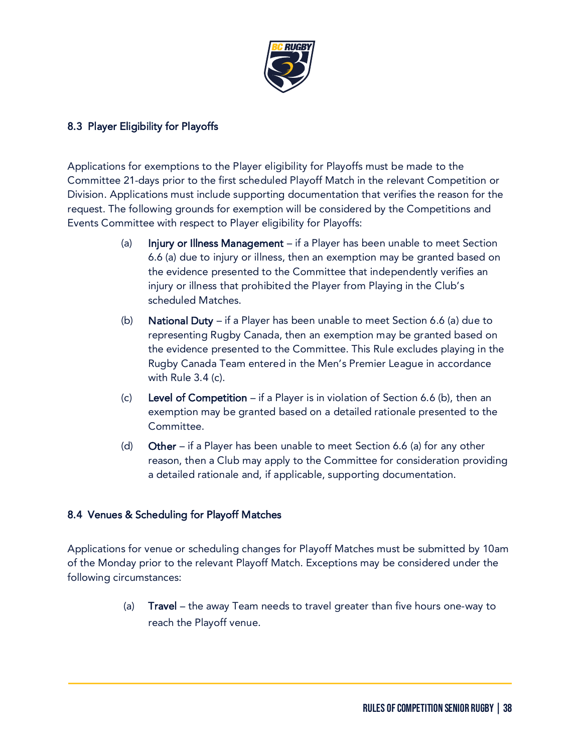

# 8.3 Player Eligibility for Playoffs

Applications for exemptions to the Player eligibility for Playoffs must be made to the Committee 21-days prior to the first scheduled Playoff Match in the relevant Competition or Division. Applications must include supporting documentation that verifies the reason for the request. The following grounds for exemption will be considered by the Competitions and Events Committee with respect to Player eligibility for Playoffs:

- (a) Injury or Illness Management  $-$  if a Player has been unable to meet Section 6.6 (a) due to injury or illness, then an exemption may be granted based on the evidence presented to the Committee that independently verifies an injury or illness that prohibited the Player from Playing in the Club's scheduled Matches.
- (b) National Duty if a Player has been unable to meet Section 6.6 (a) due to representing Rugby Canada, then an exemption may be granted based on the evidence presented to the Committee. This Rule excludes playing in the Rugby Canada Team entered in the Men's Premier League in accordance with Rule 3.4 (c).
- (c) Level of Competition if a Player is in violation of Section 6.6 (b), then an exemption may be granted based on a detailed rationale presented to the Committee.
- (d) Other if a Player has been unable to meet Section 6.6 (a) for any other reason, then a Club may apply to the Committee for consideration providing a detailed rationale and, if applicable, supporting documentation.

# 8.4 Venues & Scheduling for Playoff Matches

Applications for venue or scheduling changes for Playoff Matches must be submitted by 10am of the Monday prior to the relevant Playoff Match. Exceptions may be considered under the following circumstances:

> (a) Travel – the away Team needs to travel greater than five hours one-way to reach the Playoff venue.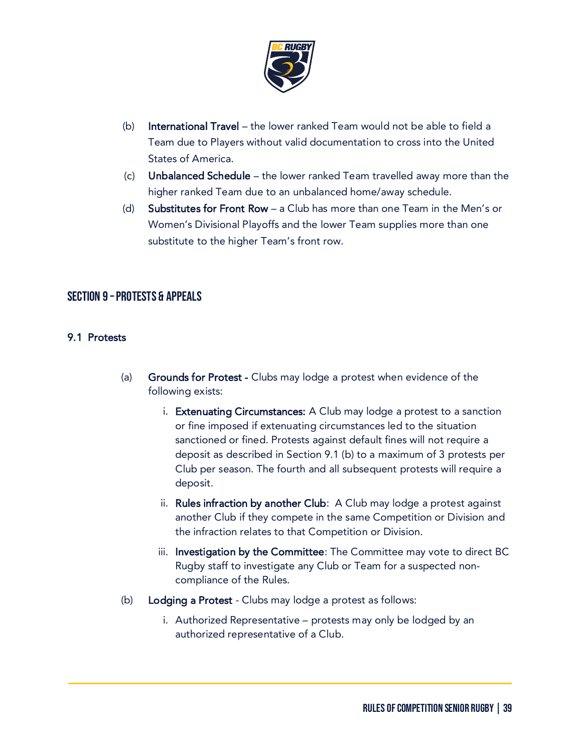

- (b) International Travel the lower ranked Team would not be able to field a Team due to Players without valid documentation to cross into the United States of America.
- $(c)$  Unbalanced Schedule the lower ranked Team travelled away more than the higher ranked Team due to an unbalanced home/away schedule.
- (d) Substitutes for Front Row a Club has more than one Team in the Men's or Women's Divisional Playoffs and the lower Team supplies more than one substitute to the higher Team's front row.

# Section 9 –Protests & Appeals

#### 9.1 Protests

- (a) Grounds for Protest Clubs may lodge a protest when evidence of the following exists:
	- i. Extenuating Circumstances: A Club may lodge a protest to a sanction or fine imposed if extenuating circumstances led to the situation sanctioned or fined. Protests against default fines will not require a deposit as described in Section 9.1 (b) to a maximum of 3 protests per Club per season. The fourth and all subsequent protests will require a deposit.
	- ii. Rules infraction by another Club: A Club may lodge a protest against another Club if they compete in the same Competition or Division and the infraction relates to that Competition or Division.
	- iii. Investigation by the Committee: The Committee may vote to direct BC Rugby staff to investigate any Club or Team for a suspected noncompliance of the Rules.
- (b) Lodging a Protest Clubs may lodge a protest as follows:
	- i. Authorized Representative protests may only be lodged by an authorized representative of a Club.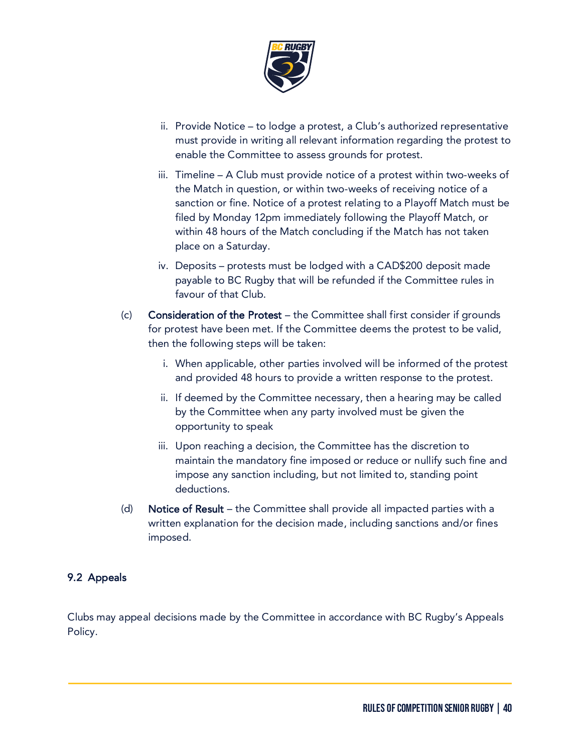

- ii. Provide Notice to lodge a protest, a Club's authorized representative must provide in writing all relevant information regarding the protest to enable the Committee to assess grounds for protest.
- iii. Timeline A Club must provide notice of a protest within two-weeks of the Match in question, or within two-weeks of receiving notice of a sanction or fine. Notice of a protest relating to a Playoff Match must be filed by Monday 12pm immediately following the Playoff Match, or within 48 hours of the Match concluding if the Match has not taken place on a Saturday.
- iv. Deposits protests must be lodged with a CAD\$200 deposit made payable to BC Rugby that will be refunded if the Committee rules in favour of that Club.
- (c) Consideration of the Protest the Committee shall first consider if grounds for protest have been met. If the Committee deems the protest to be valid, then the following steps will be taken:
	- i. When applicable, other parties involved will be informed of the protest and provided 48 hours to provide a written response to the protest.
	- ii. If deemed by the Committee necessary, then a hearing may be called by the Committee when any party involved must be given the opportunity to speak
	- iii. Upon reaching a decision, the Committee has the discretion to maintain the mandatory fine imposed or reduce or nullify such fine and impose any sanction including, but not limited to, standing point deductions.
- (d) Notice of Result the Committee shall provide all impacted parties with a written explanation for the decision made, including sanctions and/or fines imposed.

# 9.2 Appeals

Clubs may appeal decisions made by the Committee in accordance with BC Rugby's Appeals Policy.